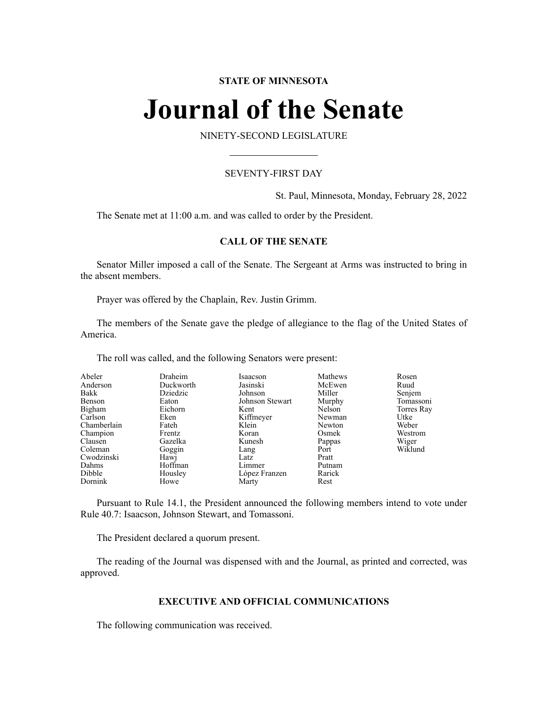# **STATE OF MINNESOTA**

# **Journal of the Senate**

NINETY-SECOND LEGISLATURE

# SEVENTY-FIRST DAY

St. Paul, Minnesota, Monday, February 28, 2022

The Senate met at 11:00 a.m. and was called to order by the President.

# **CALL OF THE SENATE**

Senator Miller imposed a call of the Senate. The Sergeant at Arms was instructed to bring in the absent members.

Prayer was offered by the Chaplain, Rev. Justin Grimm.

The members of the Senate gave the pledge of allegiance to the flag of the United States of America.

The roll was called, and the following Senators were present:

| Abeler      | Draheim   | Isaacson        | Mathews | Rosen      |
|-------------|-----------|-----------------|---------|------------|
| Anderson    | Duckworth | Jasinski        | McEwen  | Ruud       |
| Bakk        | Dziedzic  | Johnson         | Miller  | Senjem     |
| Benson      | Eaton     | Johnson Stewart | Murphy  | Tomassoni  |
| Bigham      | Eichorn   | Kent            | Nelson  | Torres Ray |
| Carlson     | Eken      | Kiffmeyer       | Newman  | Utke       |
| Chamberlain | Fateh     | Klein           | Newton  | Weber      |
| Champion    | Frentz    | Koran           | Osmek   | Westrom    |
| Clausen     | Gazelka   | Kunesh          | Pappas  | Wiger      |
| Coleman     | Goggin    | Lang            | Port    | Wiklund    |
| Cwodzinski  | Hawj      | Latz            | Pratt   |            |
| Dahms       | Hoffman   | Limmer          | Putnam  |            |
| Dibble      | Housley   | López Franzen   | Rarick  |            |
| Dornink     | Howe      | Marty           | Rest    |            |

Pursuant to Rule 14.1, the President announced the following members intend to vote under Rule 40.7: Isaacson, Johnson Stewart, and Tomassoni.

The President declared a quorum present.

The reading of the Journal was dispensed with and the Journal, as printed and corrected, was approved.

# **EXECUTIVE AND OFFICIAL COMMUNICATIONS**

The following communication was received.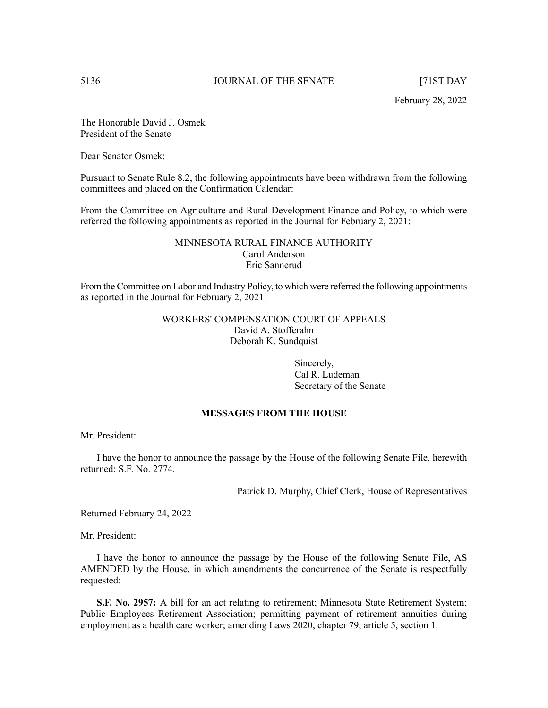The Honorable David J. Osmek President of the Senate

Dear Senator Osmek:

Pursuant to Senate Rule 8.2, the following appointments have been withdrawn from the following committees and placed on the Confirmation Calendar:

From the Committee on Agriculture and Rural Development Finance and Policy, to which were referred the following appointments as reported in the Journal for February 2, 2021:

# MINNESOTA RURAL FINANCE AUTHORITY Carol Anderson Eric Sannerud

From the Committee on Labor and Industry Policy, to which were referred the following appointments as reported in the Journal for February 2, 2021:

> WORKERS' COMPENSATION COURT OF APPEALS David A. Stofferahn Deborah K. Sundquist

> > Sincerely, Cal R. Ludeman Secretary of the Senate

# **MESSAGES FROM THE HOUSE**

Mr. President:

I have the honor to announce the passage by the House of the following Senate File, herewith returned: S.F. No. 2774.

Patrick D. Murphy, Chief Clerk, House of Representatives

Returned February 24, 2022

Mr. President:

I have the honor to announce the passage by the House of the following Senate File, AS AMENDED by the House, in which amendments the concurrence of the Senate is respectfully requested:

**S.F. No. 2957:** A bill for an act relating to retirement; Minnesota State Retirement System; Public Employees Retirement Association; permitting payment of retirement annuities during employment as a health care worker; amending Laws 2020, chapter 79, article 5, section 1.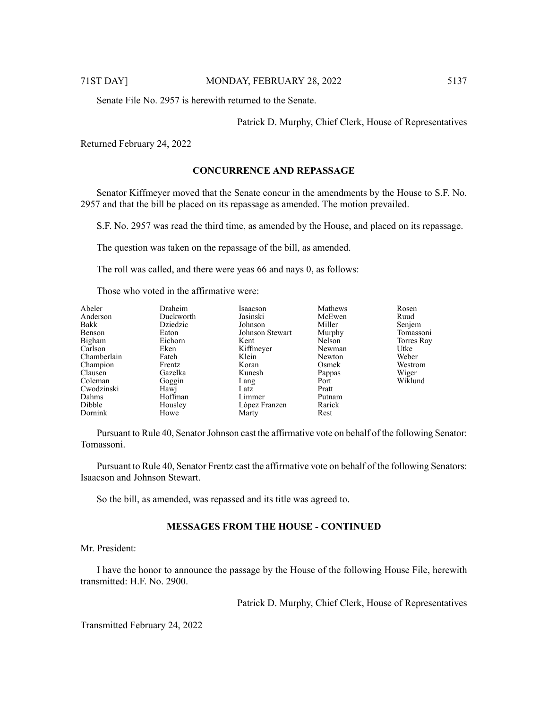Senate File No. 2957 is herewith returned to the Senate.

Patrick D. Murphy, Chief Clerk, House of Representatives

Returned February 24, 2022

# **CONCURRENCE AND REPASSAGE**

Senator Kiffmeyer moved that the Senate concur in the amendments by the House to S.F. No. 2957 and that the bill be placed on its repassage as amended. The motion prevailed.

S.F. No. 2957 was read the third time, as amended by the House, and placed on its repassage.

The question was taken on the repassage of the bill, as amended.

The roll was called, and there were yeas 66 and nays 0, as follows:

Those who voted in the affirmative were:

| Abeler      | Draheim   | Isaacson        | Mathews | Rosen      |
|-------------|-----------|-----------------|---------|------------|
| Anderson    | Duckworth | Jasinski        | McEwen  | Ruud       |
| Bakk        | Dziedzic  | Johnson         | Miller  | Senjem     |
| Benson      | Eaton     | Johnson Stewart | Murphy  | Tomassoni  |
| Bigham      | Eichorn   | Kent            | Nelson  | Torres Ray |
| Carlson     | Eken      | Kiffmeyer       | Newman  | Utke       |
| Chamberlain | Fateh     | Klein           | Newton  | Weber      |
| Champion    | Frentz    | Koran           | Osmek   | Westrom    |
| Clausen     | Gazelka   | Kunesh          | Pappas  | Wiger      |
| Coleman     | Goggin    | Lang            | Port    | Wiklund    |
| Cwodzinski  | Hawj      | Latz            | Pratt   |            |
| Dahms       | Hoffman   | Limmer          | Putnam  |            |
| Dibble      | Housley   | López Franzen   | Rarick  |            |
| Dornink     | Howe      | Marty           | Rest    |            |

Pursuant to Rule 40, Senator Johnson cast the affirmative vote on behalf of the following Senator: Tomassoni.

Pursuant to Rule 40, Senator Frentz cast the affirmative vote on behalf of the following Senators: Isaacson and Johnson Stewart.

So the bill, as amended, was repassed and its title was agreed to.

# **MESSAGES FROM THE HOUSE - CONTINUED**

Mr. President:

I have the honor to announce the passage by the House of the following House File, herewith transmitted: H.F. No. 2900.

Patrick D. Murphy, Chief Clerk, House of Representatives

Transmitted February 24, 2022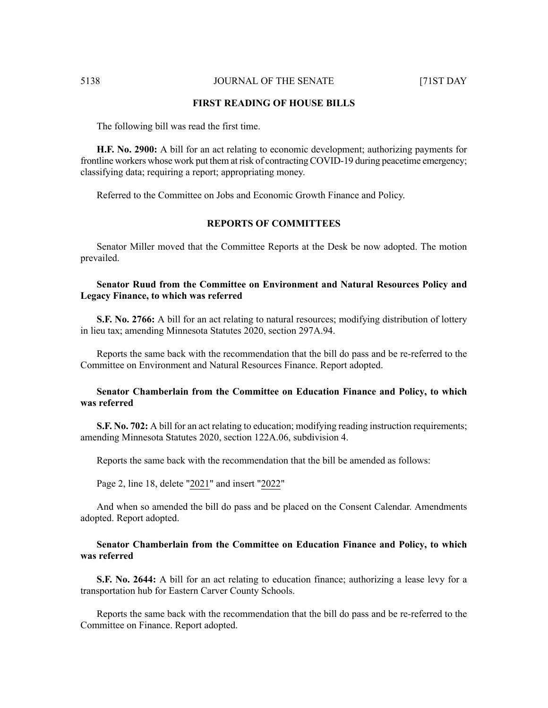# **FIRST READING OF HOUSE BILLS**

The following bill was read the first time.

**H.F. No. 2900:** A bill for an act relating to economic development; authorizing payments for frontline workers whose work put them at risk of contracting COVID-19 during peacetime emergency; classifying data; requiring a report; appropriating money.

Referred to the Committee on Jobs and Economic Growth Finance and Policy.

# **REPORTS OF COMMITTEES**

Senator Miller moved that the Committee Reports at the Desk be now adopted. The motion prevailed.

# **Senator Ruud from the Committee on Environment and Natural Resources Policy and Legacy Finance, to which was referred**

**S.F. No. 2766:** A bill for an act relating to natural resources; modifying distribution of lottery in lieu tax; amending Minnesota Statutes 2020, section 297A.94.

Reports the same back with the recommendation that the bill do pass and be re-referred to the Committee on Environment and Natural Resources Finance. Report adopted.

### **Senator Chamberlain from the Committee on Education Finance and Policy, to which was referred**

**S.F. No. 702:** A bill for an act relating to education; modifying reading instruction requirements; amending Minnesota Statutes 2020, section 122A.06, subdivision 4.

Reports the same back with the recommendation that the bill be amended as follows:

Page 2, line 18, delete "2021" and insert "2022"

And when so amended the bill do pass and be placed on the Consent Calendar. Amendments adopted. Report adopted.

# **Senator Chamberlain from the Committee on Education Finance and Policy, to which was referred**

**S.F. No. 2644:** A bill for an act relating to education finance; authorizing a lease levy for a transportation hub for Eastern Carver County Schools.

Reports the same back with the recommendation that the bill do pass and be re-referred to the Committee on Finance. Report adopted.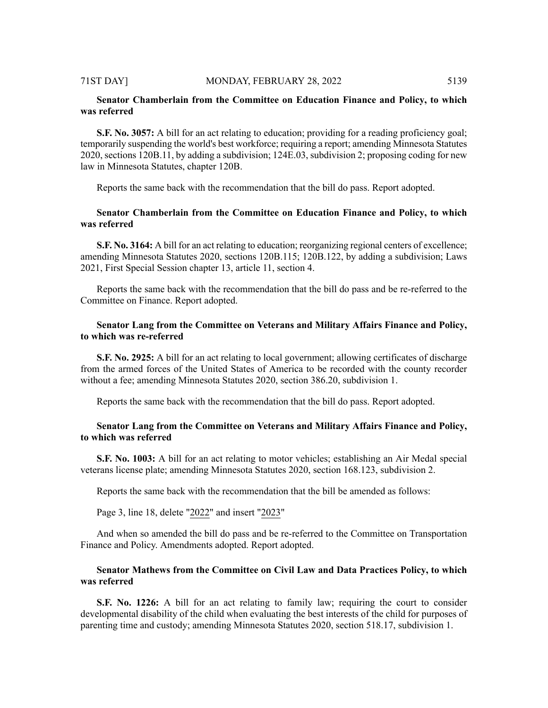# **Senator Chamberlain from the Committee on Education Finance and Policy, to which was referred**

**S.F. No. 3057:** A bill for an act relating to education; providing for a reading proficiency goal; temporarily suspending the world's best workforce; requiring a report; amending Minnesota Statutes 2020, sections 120B.11, by adding a subdivision; 124E.03, subdivision 2; proposing coding for new law in Minnesota Statutes, chapter 120B.

Reports the same back with the recommendation that the bill do pass. Report adopted.

# **Senator Chamberlain from the Committee on Education Finance and Policy, to which was referred**

**S.F. No. 3164:** A bill for an act relating to education; reorganizing regional centers of excellence; amending Minnesota Statutes 2020, sections 120B.115; 120B.122, by adding a subdivision; Laws 2021, First Special Session chapter 13, article 11, section 4.

Reports the same back with the recommendation that the bill do pass and be re-referred to the Committee on Finance. Report adopted.

# **Senator Lang from the Committee on Veterans and Military Affairs Finance and Policy, to which was re-referred**

**S.F. No. 2925:** A bill for an act relating to local government; allowing certificates of discharge from the armed forces of the United States of America to be recorded with the county recorder without a fee; amending Minnesota Statutes 2020, section 386.20, subdivision 1.

Reports the same back with the recommendation that the bill do pass. Report adopted.

# **Senator Lang from the Committee on Veterans and Military Affairs Finance and Policy, to which was referred**

**S.F. No. 1003:** A bill for an act relating to motor vehicles; establishing an Air Medal special veterans license plate; amending Minnesota Statutes 2020, section 168.123, subdivision 2.

Reports the same back with the recommendation that the bill be amended as follows:

Page 3, line 18, delete "2022" and insert "2023"

And when so amended the bill do pass and be re-referred to the Committee on Transportation Finance and Policy. Amendments adopted. Report adopted.

# **Senator Mathews from the Committee on Civil Law and Data Practices Policy, to which was referred**

**S.F. No. 1226:** A bill for an act relating to family law; requiring the court to consider developmental disability of the child when evaluating the best interests of the child for purposes of parenting time and custody; amending Minnesota Statutes 2020, section 518.17, subdivision 1.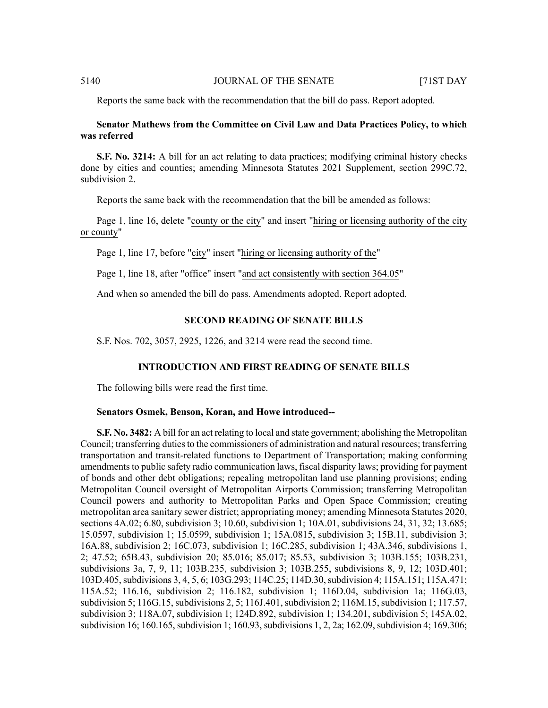Reports the same back with the recommendation that the bill do pass. Report adopted.

# **Senator Mathews from the Committee on Civil Law and Data Practices Policy, to which was referred**

**S.F. No. 3214:** A bill for an act relating to data practices; modifying criminal history checks done by cities and counties; amending Minnesota Statutes 2021 Supplement, section 299C.72, subdivision 2.

Reports the same back with the recommendation that the bill be amended as follows:

Page 1, line 16, delete "county or the city" and insert "hiring or licensing authority of the city or county"

Page 1, line 17, before "city" insert "hiring or licensing authority of the"

Page 1, line 18, after "office" insert "and act consistently with section 364.05"

And when so amended the bill do pass. Amendments adopted. Report adopted.

# **SECOND READING OF SENATE BILLS**

S.F. Nos. 702, 3057, 2925, 1226, and 3214 were read the second time.

### **INTRODUCTION AND FIRST READING OF SENATE BILLS**

The following bills were read the first time.

#### **Senators Osmek, Benson, Koran, and Howe introduced--**

**S.F. No. 3482:** A bill for an act relating to local and state government; abolishing the Metropolitan Council; transferring duties to the commissioners of administration and natural resources; transferring transportation and transit-related functions to Department of Transportation; making conforming amendments to public safety radio communication laws, fiscal disparity laws; providing for payment of bonds and other debt obligations; repealing metropolitan land use planning provisions; ending Metropolitan Council oversight of Metropolitan Airports Commission; transferring Metropolitan Council powers and authority to Metropolitan Parks and Open Space Commission; creating metropolitan area sanitary sewer district; appropriating money; amending Minnesota Statutes 2020, sections 4A.02; 6.80, subdivision 3; 10.60, subdivision 1; 10A.01, subdivisions 24, 31, 32; 13.685; 15.0597, subdivision 1; 15.0599, subdivision 1; 15A.0815, subdivision 3; 15B.11, subdivision 3; 16A.88, subdivision 2; 16C.073, subdivision 1; 16C.285, subdivision 1; 43A.346, subdivisions 1, 2; 47.52; 65B.43, subdivision 20; 85.016; 85.017; 85.53, subdivision 3; 103B.155; 103B.231, subdivisions 3a, 7, 9, 11; 103B.235, subdivision 3; 103B.255, subdivisions 8, 9, 12; 103D.401; 103D.405,subdivisions 3, 4, 5, 6; 103G.293; 114C.25; 114D.30,subdivision 4; 115A.151; 115A.471; 115A.52; 116.16, subdivision 2; 116.182, subdivision 1; 116D.04, subdivision 1a; 116G.03, subdivision 5; 116G.15, subdivisions 2, 5; 116J.401, subdivision 2; 116M.15, subdivision 1; 117.57, subdivision 3; 118A.07, subdivision 1; 124D.892, subdivision 1; 134.201, subdivision 5; 145A.02, subdivision 16; 160.165, subdivision 1; 160.93, subdivisions 1, 2, 2a; 162.09, subdivision 4; 169.306;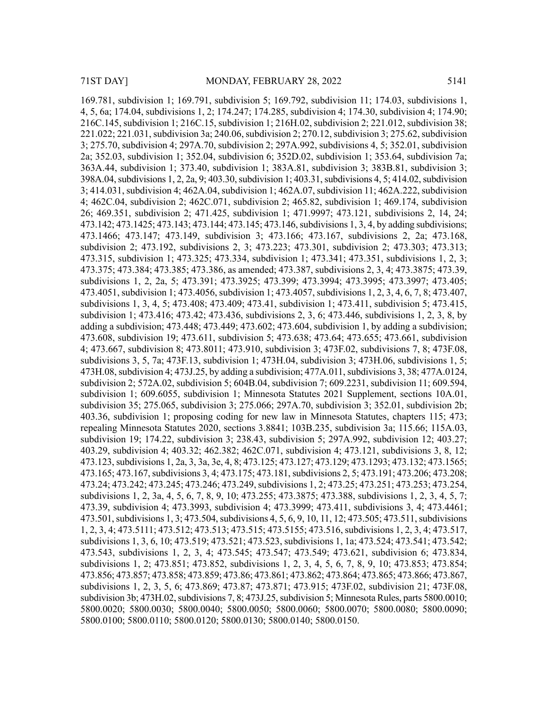169.781, subdivision 1; 169.791, subdivision 5; 169.792, subdivision 11; 174.03, subdivisions 1, 4, 5, 6a; 174.04, subdivisions 1, 2; 174.247; 174.285, subdivision 4; 174.30, subdivision 4; 174.90; 216C.145, subdivision 1; 216C.15, subdivision 1; 216H.02, subdivision 2; 221.012, subdivision 38; 221.022; 221.031, subdivision 3a; 240.06, subdivision 2; 270.12, subdivision 3; 275.62, subdivision 3; 275.70, subdivision 4; 297A.70, subdivision 2; 297A.992, subdivisions 4, 5; 352.01, subdivision 2a; 352.03, subdivision 1; 352.04, subdivision 6; 352D.02, subdivision 1; 353.64, subdivision 7a; 363A.44, subdivision 1; 373.40, subdivision 1; 383A.81, subdivision 3; 383B.81, subdivision 3;  $398A.04$ , subdivisions 1, 2, 2a, 9; 403.30, subdivision 1; 403.31, subdivisions 4, 5; 414.02, subdivision 3; 414.031, subdivision 4; 462A.04, subdivision 1; 462A.07, subdivision 11; 462A.222, subdivision 4; 462C.04, subdivision 2; 462C.071, subdivision 2; 465.82, subdivision 1; 469.174, subdivision 26; 469.351, subdivision 2; 471.425, subdivision 1; 471.9997; 473.121, subdivisions 2, 14, 24; 473.142; 473.1425; 473.143; 473.144; 473.145; 473.146,subdivisions 1, 3, 4, by adding subdivisions; 473.1466; 473.147; 473.149, subdivision 3; 473.166; 473.167, subdivisions 2, 2a; 473.168, subdivision 2; 473.192, subdivisions 2, 3; 473.223; 473.301, subdivision 2; 473.303; 473.313; 473.315, subdivision 1; 473.325; 473.334, subdivision 1; 473.341; 473.351, subdivisions 1, 2, 3; 473.375; 473.384; 473.385; 473.386, as amended; 473.387, subdivisions 2, 3, 4; 473.3875; 473.39, subdivisions 1, 2, 2a, 5; 473.391; 473.3925; 473.399; 473.3994; 473.3995; 473.3997; 473.405; 473.4051, subdivision 1; 473.4056, subdivision 1; 473.4057, subdivisions 1, 2, 3, 4, 6, 7, 8; 473.407, subdivisions 1, 3, 4, 5; 473.408; 473.409; 473.41, subdivision 1; 473.411, subdivision 5; 473.415, subdivision 1; 473.416; 473.42; 473.436, subdivisions 2, 3, 6; 473.446, subdivisions 1, 2, 3, 8, by adding a subdivision; 473.448; 473.449; 473.602; 473.604, subdivision 1, by adding a subdivision; 473.608, subdivision 19; 473.611, subdivision 5; 473.638; 473.64; 473.655; 473.661, subdivision 4; 473.667, subdivision 8; 473.8011; 473.910, subdivision 3; 473F.02, subdivisions 7, 8; 473F.08, subdivisions 3, 5, 7a; 473F.13, subdivision 1; 473H.04, subdivision 3; 473H.06, subdivisions 1, 5; 473H.08,subdivision 4; 473J.25, by adding a subdivision; 477A.011,subdivisions 3, 38; 477A.0124, subdivision 2; 572A.02, subdivision 5; 604B.04, subdivision 7; 609.2231, subdivision 11; 609.594, subdivision 1; 609.6055, subdivision 1; Minnesota Statutes 2021 Supplement, sections 10A.01, subdivision 35; 275.065, subdivision 3; 275.066; 297A.70, subdivision 3; 352.01, subdivision 2b; 403.36, subdivision 1; proposing coding for new law in Minnesota Statutes, chapters 115; 473; repealing Minnesota Statutes 2020, sections 3.8841; 103B.235, subdivision 3a; 115.66; 115A.03, subdivision 19; 174.22, subdivision 3; 238.43, subdivision 5; 297A.992, subdivision 12; 403.27; 403.29, subdivision 4; 403.32; 462.382; 462C.071, subdivision 4; 473.121, subdivisions 3, 8, 12; 473.123,subdivisions 1, 2a, 3, 3a, 3e, 4, 8; 473.125; 473.127; 473.129; 473.1293; 473.132; 473.1565; 473.165; 473.167,subdivisions 3, 4; 473.175; 473.181,subdivisions 2, 5; 473.191; 473.206; 473.208; 473.24; 473.242; 473.245; 473.246; 473.249,subdivisions 1, 2; 473.25; 473.251; 473.253; 473.254, subdivisions 1, 2, 3a, 4, 5, 6, 7, 8, 9, 10; 473.255; 473.3875; 473.388, subdivisions 1, 2, 3, 4, 5, 7; 473.39, subdivision 4; 473.3993, subdivision 4; 473.3999; 473.411, subdivisions 3, 4; 473.4461; 473.501,subdivisions 1, 3; 473.504,subdivisions 4, 5, 6, 9, 10, 11, 12; 473.505; 473.511,subdivisions 1, 2, 3, 4; 473.5111; 473.512; 473.513; 473.515; 473.5155; 473.516,subdivisions 1, 2, 3, 4; 473.517, subdivisions 1, 3, 6, 10; 473.519; 473.521; 473.523, subdivisions 1, 1a; 473.524; 473.541; 473.542; 473.543, subdivisions 1, 2, 3, 4; 473.545; 473.547; 473.549; 473.621, subdivision 6; 473.834, subdivisions 1, 2; 473.851; 473.852, subdivisions 1, 2, 3, 4, 5, 6, 7, 8, 9, 10; 473.853; 473.854; 473.856; 473.857; 473.858; 473.859; 473.86; 473.861; 473.862; 473.864; 473.865; 473.866; 473.867, subdivisions 1, 2, 3, 5, 6; 473.869; 473.87; 473.871; 473.915; 473F.02, subdivision 21; 473F.08, subdivision 3b;  $473H.02$ , subdivisions 7, 8;  $473J.25$ , subdivision 5; Minnesota Rules, parts 5800.0010; 5800.0020; 5800.0030; 5800.0040; 5800.0050; 5800.0060; 5800.0070; 5800.0080; 5800.0090; 5800.0100; 5800.0110; 5800.0120; 5800.0130; 5800.0140; 5800.0150.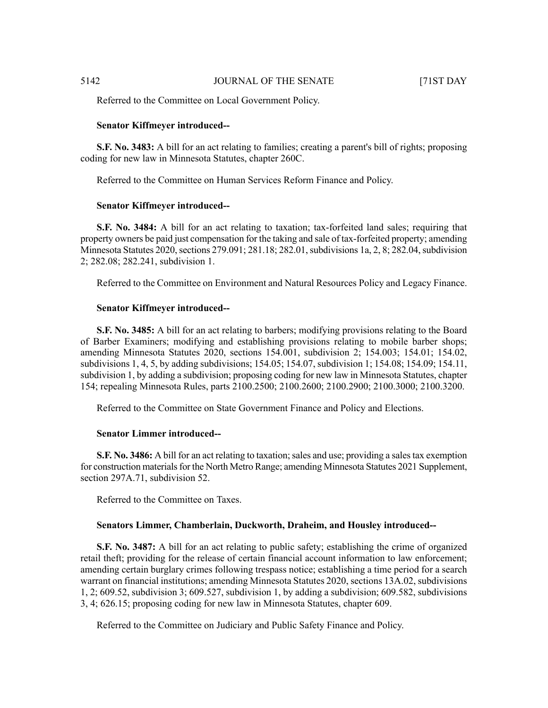Referred to the Committee on Local Government Policy.

### **Senator Kiffmeyer introduced--**

**S.F. No. 3483:** A bill for an act relating to families; creating a parent's bill of rights; proposing coding for new law in Minnesota Statutes, chapter 260C.

Referred to the Committee on Human Services Reform Finance and Policy.

#### **Senator Kiffmeyer introduced--**

**S.F.** No. 3484: A bill for an act relating to taxation; tax-forfeited land sales; requiring that property owners be paid just compensation for the taking and sale of tax-forfeited property; amending Minnesota Statutes 2020, sections 279.091; 281.18; 282.01, subdivisions 1a, 2, 8; 282.04, subdivision 2; 282.08; 282.241, subdivision 1.

Referred to the Committee on Environment and Natural Resources Policy and Legacy Finance.

#### **Senator Kiffmeyer introduced--**

**S.F. No. 3485:** A bill for an act relating to barbers; modifying provisions relating to the Board of Barber Examiners; modifying and establishing provisions relating to mobile barber shops; amending Minnesota Statutes 2020, sections 154.001, subdivision 2; 154.003; 154.01; 154.02, subdivisions 1, 4, 5, by adding subdivisions; 154.05; 154.07, subdivision 1; 154.08; 154.09; 154.11, subdivision 1, by adding a subdivision; proposing coding for new law in Minnesota Statutes, chapter 154; repealing Minnesota Rules, parts 2100.2500; 2100.2600; 2100.2900; 2100.3000; 2100.3200.

Referred to the Committee on State Government Finance and Policy and Elections.

#### **Senator Limmer introduced--**

**S.F. No. 3486:** A bill for an act relating to taxation; sales and use; providing a sales tax exemption for construction materials for the North Metro Range; amending Minnesota Statutes 2021 Supplement, section 297A.71, subdivision 52.

Referred to the Committee on Taxes.

#### **Senators Limmer, Chamberlain, Duckworth, Draheim, and Housley introduced--**

**S.F. No. 3487:** A bill for an act relating to public safety; establishing the crime of organized retail theft; providing for the release of certain financial account information to law enforcement; amending certain burglary crimes following trespass notice; establishing a time period for a search warrant on financial institutions; amending Minnesota Statutes 2020, sections 13A.02, subdivisions 1, 2; 609.52, subdivision 3; 609.527, subdivision 1, by adding a subdivision; 609.582, subdivisions 3, 4; 626.15; proposing coding for new law in Minnesota Statutes, chapter 609.

Referred to the Committee on Judiciary and Public Safety Finance and Policy.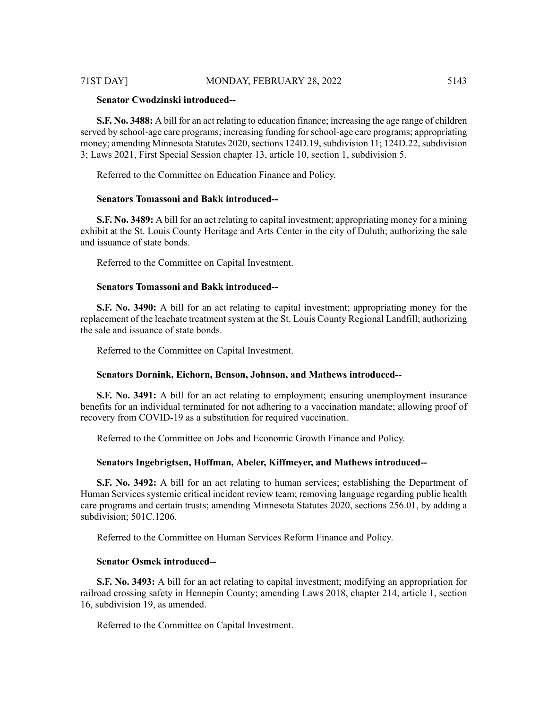# 71ST DAY] MONDAY, FEBRUARY 28, 2022 5143

### **Senator Cwodzinski introduced--**

**S.F. No. 3488:** A bill for an act relating to education finance; increasing the age range of children served by school-age care programs; increasing funding forschool-age care programs; appropriating money; amending Minnesota Statutes 2020, sections 124D.19, subdivision 11; 124D.22, subdivision 3; Laws 2021, First Special Session chapter 13, article 10, section 1, subdivision 5.

Referred to the Committee on Education Finance and Policy.

# **Senators Tomassoni and Bakk introduced--**

**S.F. No. 3489:** A bill for an act relating to capital investment; appropriating money for a mining exhibit at the St. Louis County Heritage and Arts Center in the city of Duluth; authorizing the sale and issuance of state bonds.

Referred to the Committee on Capital Investment.

# **Senators Tomassoni and Bakk introduced--**

**S.F. No. 3490:** A bill for an act relating to capital investment; appropriating money for the replacement of the leachate treatment system at the St. Louis County Regional Landfill; authorizing the sale and issuance of state bonds.

Referred to the Committee on Capital Investment.

#### **Senators Dornink, Eichorn, Benson, Johnson, and Mathews introduced--**

**S.F. No. 3491:** A bill for an act relating to employment; ensuring unemployment insurance benefits for an individual terminated for not adhering to a vaccination mandate; allowing proof of recovery from COVID-19 as a substitution for required vaccination.

Referred to the Committee on Jobs and Economic Growth Finance and Policy.

#### **Senators Ingebrigtsen, Hoffman, Abeler, Kiffmeyer, and Mathews introduced--**

**S.F. No. 3492:** A bill for an act relating to human services; establishing the Department of Human Services systemic critical incident review team; removing language regarding public health care programs and certain trusts; amending Minnesota Statutes 2020, sections 256.01, by adding a subdivision; 501C.1206.

Referred to the Committee on Human Services Reform Finance and Policy.

#### **Senator Osmek introduced--**

**S.F. No. 3493:** A bill for an act relating to capital investment; modifying an appropriation for railroad crossing safety in Hennepin County; amending Laws 2018, chapter 214, article 1, section 16, subdivision 19, as amended.

Referred to the Committee on Capital Investment.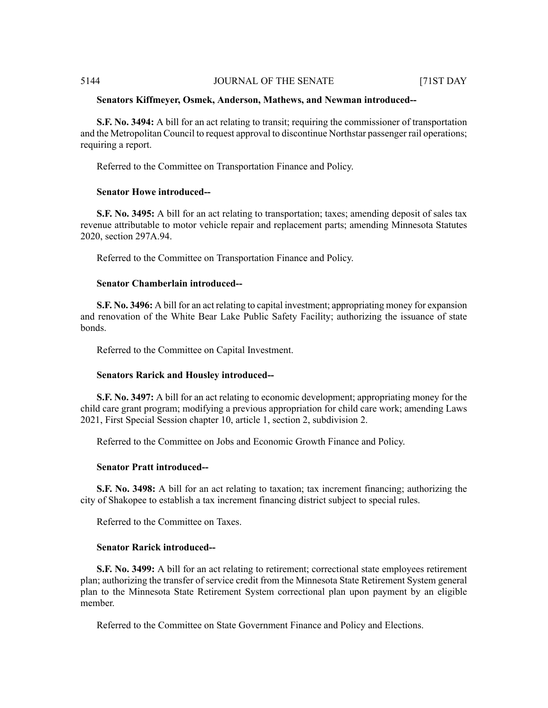# **Senators Kiffmeyer, Osmek, Anderson, Mathews, and Newman introduced--**

**S.F. No. 3494:** A bill for an act relating to transit; requiring the commissioner of transportation and the Metropolitan Council to request approval to discontinue Northstar passenger rail operations; requiring a report.

Referred to the Committee on Transportation Finance and Policy.

# **Senator Howe introduced--**

**S.F. No. 3495:** A bill for an act relating to transportation; taxes; amending deposit of sales tax revenue attributable to motor vehicle repair and replacement parts; amending Minnesota Statutes 2020, section 297A.94.

Referred to the Committee on Transportation Finance and Policy.

### **Senator Chamberlain introduced--**

**S.F. No. 3496:** A bill for an act relating to capital investment; appropriating money for expansion and renovation of the White Bear Lake Public Safety Facility; authorizing the issuance of state bonds.

Referred to the Committee on Capital Investment.

#### **Senators Rarick and Housley introduced--**

**S.F. No. 3497:** A bill for an act relating to economic development; appropriating money for the child care grant program; modifying a previous appropriation for child care work; amending Laws 2021, First Special Session chapter 10, article 1, section 2, subdivision 2.

Referred to the Committee on Jobs and Economic Growth Finance and Policy.

#### **Senator Pratt introduced--**

**S.F. No. 3498:** A bill for an act relating to taxation; tax increment financing; authorizing the city of Shakopee to establish a tax increment financing district subject to special rules.

Referred to the Committee on Taxes.

# **Senator Rarick introduced--**

**S.F. No. 3499:** A bill for an act relating to retirement; correctional state employees retirement plan; authorizing the transfer of service credit from the Minnesota State Retirement System general plan to the Minnesota State Retirement System correctional plan upon payment by an eligible member.

Referred to the Committee on State Government Finance and Policy and Elections.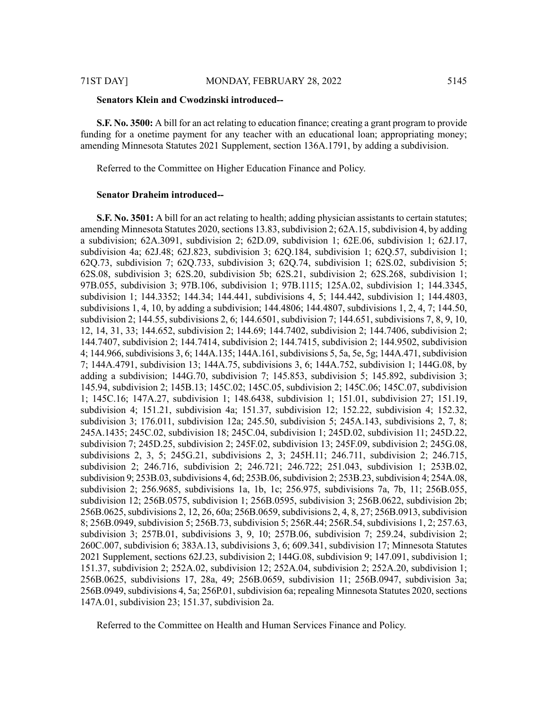#### **Senators Klein and Cwodzinski introduced--**

**S.F. No. 3500:** A bill for an act relating to education finance; creating a grant program to provide funding for a onetime payment for any teacher with an educational loan; appropriating money; amending Minnesota Statutes 2021 Supplement, section 136A.1791, by adding a subdivision.

Referred to the Committee on Higher Education Finance and Policy.

#### **Senator Draheim introduced--**

**S.F. No. 3501:** A bill for an act relating to health; adding physician assistants to certain statutes; amending Minnesota Statutes 2020, sections 13.83, subdivision 2; 62A.15, subdivision 4, by adding a subdivision; 62A.3091, subdivision 2; 62D.09, subdivision 1; 62E.06, subdivision 1; 62J.17, subdivision 4a; 62J.48; 62J.823, subdivision 3; 62Q.184, subdivision 1; 62Q.57, subdivision 1; 62Q.73, subdivision 7; 62Q.733, subdivision 3; 62Q.74, subdivision 1; 62S.02, subdivision 5; 62S.08, subdivision 3; 62S.20, subdivision 5b; 62S.21, subdivision 2; 62S.268, subdivision 1; 97B.055, subdivision 3; 97B.106, subdivision 1; 97B.1115; 125A.02, subdivision 1; 144.3345, subdivision 1; 144.3352; 144.34; 144.441, subdivisions 4, 5; 144.442, subdivision 1; 144.4803, subdivisions 1, 4, 10, by adding a subdivision; 144.4806; 144.4807, subdivisions 1, 2, 4, 7; 144.50, subdivision 2; 144.55, subdivisions 2, 6; 144.6501, subdivision 7; 144.651, subdivisions 7, 8, 9, 10, 12, 14, 31, 33; 144.652, subdivision 2; 144.69; 144.7402, subdivision 2; 144.7406, subdivision 2; 144.7407, subdivision 2; 144.7414, subdivision 2; 144.7415, subdivision 2; 144.9502, subdivision 4; 144.966, subdivisions 3, 6; 144A.135; 144A.161, subdivisions 5, 5a, 5e, 5g; 144A.471, subdivision 7; 144A.4791, subdivision 13; 144A.75, subdivisions 3, 6; 144A.752, subdivision 1; 144G.08, by adding a subdivision; 144G.70, subdivision 7; 145.853, subdivision 5; 145.892, subdivision 3; 145.94, subdivision 2; 145B.13; 145C.02; 145C.05, subdivision 2; 145C.06; 145C.07, subdivision 1; 145C.16; 147A.27, subdivision 1; 148.6438, subdivision 1; 151.01, subdivision 27; 151.19, subdivision 4; 151.21, subdivision 4a; 151.37, subdivision 12; 152.22, subdivision 4; 152.32, subdivision 3; 176.011, subdivision 12a; 245.50, subdivision 5; 245A.143, subdivisions 2, 7, 8; 245A.1435; 245C.02, subdivision 18; 245C.04, subdivision 1; 245D.02, subdivision 11; 245D.22, subdivision 7; 245D.25, subdivision 2; 245F.02, subdivision 13; 245F.09, subdivision 2; 245G.08, subdivisions 2, 3, 5; 245G.21, subdivisions 2, 3; 245H.11; 246.711, subdivision 2; 246.715, subdivision 2; 246.716, subdivision 2; 246.721; 246.722; 251.043, subdivision 1; 253B.02, subdivision 9; 253B.03, subdivisions 4, 6d; 253B.06, subdivision 2; 253B.23, subdivision 4; 254A.08, subdivision 2; 256.9685, subdivisions 1a, 1b, 1c; 256.975, subdivisions 7a, 7b, 11; 256B.055, subdivision 12; 256B.0575, subdivision 1; 256B.0595, subdivision 3; 256B.0622, subdivision 2b; 256B.0625, subdivisions 2, 12, 26, 60a; 256B.0659, subdivisions 2, 4, 8, 27; 256B.0913, subdivision 8; 256B.0949, subdivision 5; 256B.73, subdivision 5; 256R.44; 256R.54, subdivisions 1, 2; 257.63, subdivision 3; 257B.01, subdivisions 3, 9, 10; 257B.06, subdivision 7; 259.24, subdivision 2; 260C.007, subdivision 6; 383A.13, subdivisions 3, 6; 609.341, subdivision 17; Minnesota Statutes 2021 Supplement, sections 62J.23, subdivision 2; 144G.08, subdivision 9; 147.091, subdivision 1; 151.37, subdivision 2; 252A.02, subdivision 12; 252A.04, subdivision 2; 252A.20, subdivision 1; 256B.0625, subdivisions 17, 28a, 49; 256B.0659, subdivision 11; 256B.0947, subdivision 3a; 256B.0949, subdivisions 4, 5a; 256P.01, subdivision 6a; repealing Minnesota Statutes 2020, sections 147A.01, subdivision 23; 151.37, subdivision 2a.

Referred to the Committee on Health and Human Services Finance and Policy.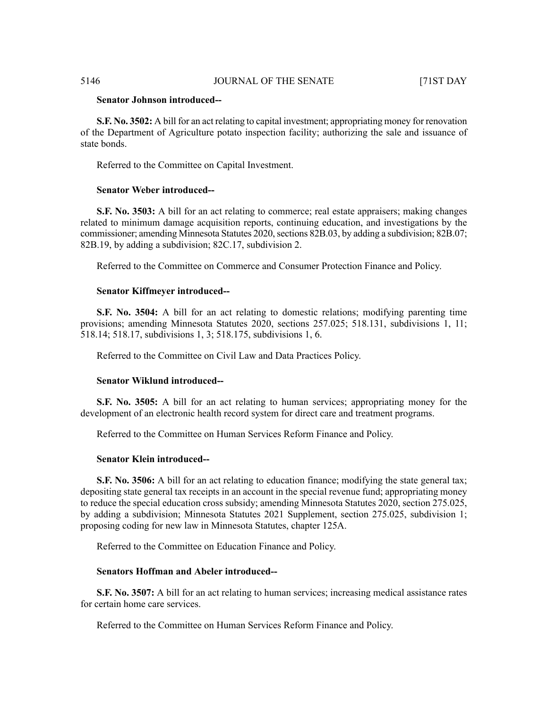# **Senator Johnson introduced--**

**S.F. No. 3502:** A bill for an act relating to capital investment; appropriating money for renovation of the Department of Agriculture potato inspection facility; authorizing the sale and issuance of state bonds.

Referred to the Committee on Capital Investment.

### **Senator Weber introduced--**

**S.F. No. 3503:** A bill for an act relating to commerce; real estate appraisers; making changes related to minimum damage acquisition reports, continuing education, and investigations by the commissioner; amending Minnesota Statutes 2020, sections 82B.03, by adding a subdivision; 82B.07; 82B.19, by adding a subdivision; 82C.17, subdivision 2.

Referred to the Committee on Commerce and Consumer Protection Finance and Policy.

#### **Senator Kiffmeyer introduced--**

**S.F. No. 3504:** A bill for an act relating to domestic relations; modifying parenting time provisions; amending Minnesota Statutes 2020, sections 257.025; 518.131, subdivisions 1, 11; 518.14; 518.17, subdivisions 1, 3; 518.175, subdivisions 1, 6.

Referred to the Committee on Civil Law and Data Practices Policy.

### **Senator Wiklund introduced--**

**S.F. No. 3505:** A bill for an act relating to human services; appropriating money for the development of an electronic health record system for direct care and treatment programs.

Referred to the Committee on Human Services Reform Finance and Policy.

# **Senator Klein introduced--**

**S.F. No. 3506:** A bill for an act relating to education finance; modifying the state general tax; depositing state general tax receipts in an account in the special revenue fund; appropriating money to reduce the special education cross subsidy; amending Minnesota Statutes 2020, section 275.025, by adding a subdivision; Minnesota Statutes 2021 Supplement, section 275.025, subdivision 1; proposing coding for new law in Minnesota Statutes, chapter 125A.

Referred to the Committee on Education Finance and Policy.

# **Senators Hoffman and Abeler introduced--**

**S.F. No. 3507:** A bill for an act relating to human services; increasing medical assistance rates for certain home care services.

Referred to the Committee on Human Services Reform Finance and Policy.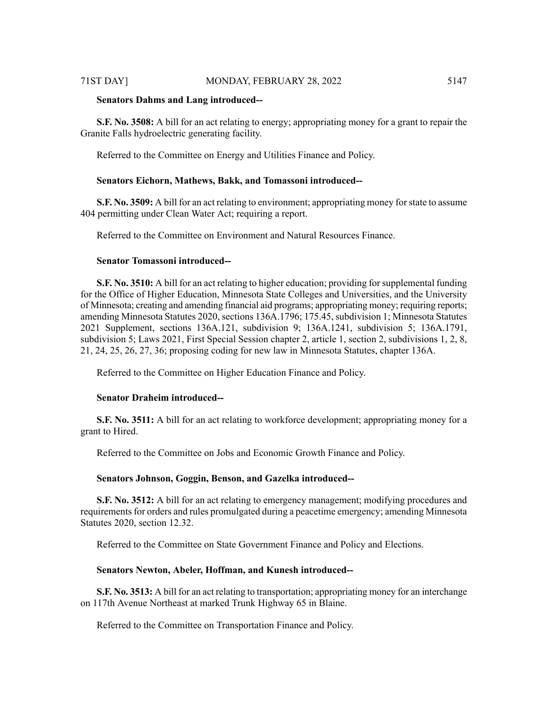**S.F. No. 3508:** A bill for an act relating to energy; appropriating money for a grant to repair the Granite Falls hydroelectric generating facility.

Referred to the Committee on Energy and Utilities Finance and Policy.

#### **Senators Eichorn, Mathews, Bakk, and Tomassoni introduced--**

**S.F. No. 3509:** A bill for an act relating to environment; appropriating money forstate to assume 404 permitting under Clean Water Act; requiring a report.

Referred to the Committee on Environment and Natural Resources Finance.

# **Senator Tomassoni introduced--**

**S.F. No. 3510:** A bill for an act relating to higher education; providing forsupplemental funding for the Office of Higher Education, Minnesota State Colleges and Universities, and the University of Minnesota; creating and amending financial aid programs; appropriating money; requiring reports; amending Minnesota Statutes 2020, sections 136A.1796; 175.45, subdivision 1; Minnesota Statutes 2021 Supplement, sections 136A.121, subdivision 9; 136A.1241, subdivision 5; 136A.1791, subdivision 5; Laws 2021, First Special Session chapter 2, article 1, section 2, subdivisions 1, 2, 8, 21, 24, 25, 26, 27, 36; proposing coding for new law in Minnesota Statutes, chapter 136A.

Referred to the Committee on Higher Education Finance and Policy.

# **Senator Draheim introduced--**

**S.F. No. 3511:** A bill for an act relating to workforce development; appropriating money for a grant to Hired.

Referred to the Committee on Jobs and Economic Growth Finance and Policy.

#### **Senators Johnson, Goggin, Benson, and Gazelka introduced--**

**S.F. No. 3512:** A bill for an act relating to emergency management; modifying procedures and requirements for orders and rules promulgated during a peacetime emergency; amending Minnesota Statutes 2020, section 12.32.

Referred to the Committee on State Government Finance and Policy and Elections.

#### **Senators Newton, Abeler, Hoffman, and Kunesh introduced--**

**S.F. No. 3513:** A bill for an act relating to transportation; appropriating money for an interchange on 117th Avenue Northeast at marked Trunk Highway 65 in Blaine.

Referred to the Committee on Transportation Finance and Policy.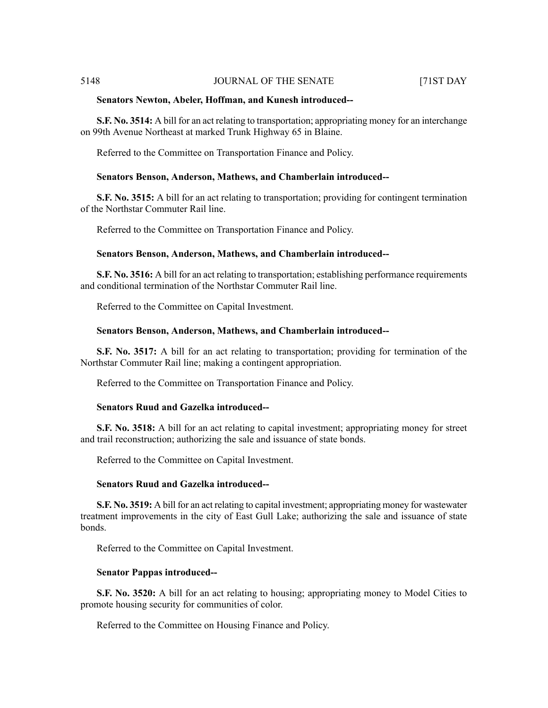#### **Senators Newton, Abeler, Hoffman, and Kunesh introduced--**

**S.F. No. 3514:** A bill for an act relating to transportation; appropriating money for an interchange on 99th Avenue Northeast at marked Trunk Highway 65 in Blaine.

Referred to the Committee on Transportation Finance and Policy.

#### **Senators Benson, Anderson, Mathews, and Chamberlain introduced--**

**S.F. No. 3515:** A bill for an act relating to transportation; providing for contingent termination of the Northstar Commuter Rail line.

Referred to the Committee on Transportation Finance and Policy.

#### **Senators Benson, Anderson, Mathews, and Chamberlain introduced--**

**S.F. No. 3516:** A bill for an act relating to transportation; establishing performance requirements and conditional termination of the Northstar Commuter Rail line.

Referred to the Committee on Capital Investment.

#### **Senators Benson, Anderson, Mathews, and Chamberlain introduced--**

**S.F. No. 3517:** A bill for an act relating to transportation; providing for termination of the Northstar Commuter Rail line; making a contingent appropriation.

Referred to the Committee on Transportation Finance and Policy.

#### **Senators Ruud and Gazelka introduced--**

**S.F. No. 3518:** A bill for an act relating to capital investment; appropriating money for street and trail reconstruction; authorizing the sale and issuance of state bonds.

Referred to the Committee on Capital Investment.

#### **Senators Ruud and Gazelka introduced--**

**S.F. No. 3519:** A bill for an act relating to capital investment; appropriating money for wastewater treatment improvements in the city of East Gull Lake; authorizing the sale and issuance of state bonds.

Referred to the Committee on Capital Investment.

#### **Senator Pappas introduced--**

**S.F. No. 3520:** A bill for an act relating to housing; appropriating money to Model Cities to promote housing security for communities of color.

Referred to the Committee on Housing Finance and Policy.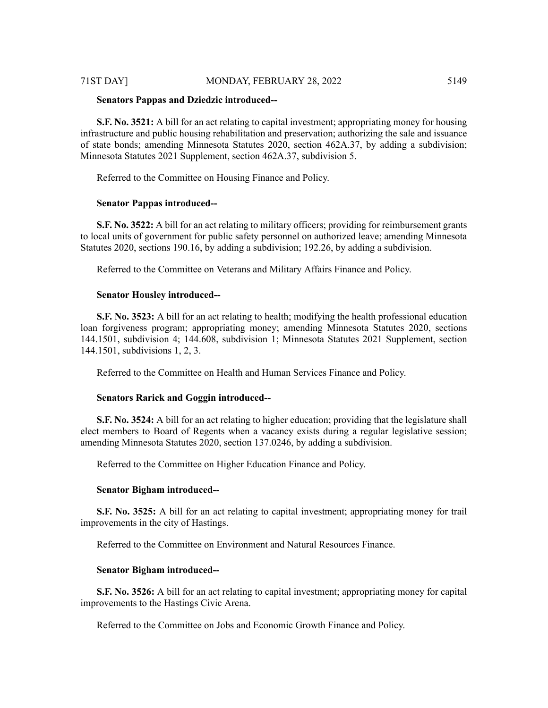# 71ST DAY] MONDAY, FEBRUARY 28, 2022 5149

#### **Senators Pappas and Dziedzic introduced--**

**S.F. No. 3521:** A bill for an act relating to capital investment; appropriating money for housing infrastructure and public housing rehabilitation and preservation; authorizing the sale and issuance of state bonds; amending Minnesota Statutes 2020, section 462A.37, by adding a subdivision; Minnesota Statutes 2021 Supplement, section 462A.37, subdivision 5.

Referred to the Committee on Housing Finance and Policy.

#### **Senator Pappas introduced--**

**S.F. No. 3522:** A bill for an act relating to military officers; providing for reimbursement grants to local units of government for public safety personnel on authorized leave; amending Minnesota Statutes 2020, sections 190.16, by adding a subdivision; 192.26, by adding a subdivision.

Referred to the Committee on Veterans and Military Affairs Finance and Policy.

#### **Senator Housley introduced--**

**S.F. No. 3523:** A bill for an act relating to health; modifying the health professional education loan forgiveness program; appropriating money; amending Minnesota Statutes 2020, sections 144.1501, subdivision 4; 144.608, subdivision 1; Minnesota Statutes 2021 Supplement, section 144.1501, subdivisions 1, 2, 3.

Referred to the Committee on Health and Human Services Finance and Policy.

#### **Senators Rarick and Goggin introduced--**

**S.F. No. 3524:** A bill for an act relating to higher education; providing that the legislature shall elect members to Board of Regents when a vacancy exists during a regular legislative session; amending Minnesota Statutes 2020, section 137.0246, by adding a subdivision.

Referred to the Committee on Higher Education Finance and Policy.

#### **Senator Bigham introduced--**

**S.F. No. 3525:** A bill for an act relating to capital investment; appropriating money for trail improvements in the city of Hastings.

Referred to the Committee on Environment and Natural Resources Finance.

# **Senator Bigham introduced--**

**S.F. No. 3526:** A bill for an act relating to capital investment; appropriating money for capital improvements to the Hastings Civic Arena.

Referred to the Committee on Jobs and Economic Growth Finance and Policy.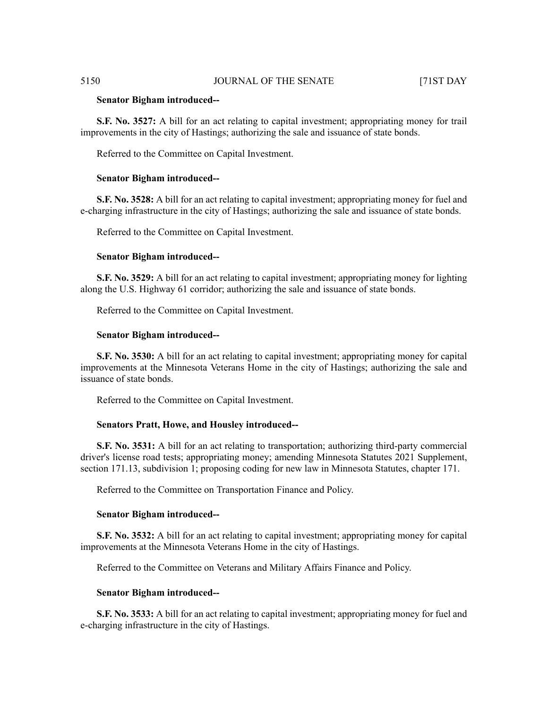#### **Senator Bigham introduced--**

**S.F. No. 3527:** A bill for an act relating to capital investment; appropriating money for trail improvements in the city of Hastings; authorizing the sale and issuance of state bonds.

Referred to the Committee on Capital Investment.

#### **Senator Bigham introduced--**

**S.F. No. 3528:** A bill for an act relating to capital investment; appropriating money for fuel and e-charging infrastructure in the city of Hastings; authorizing the sale and issuance of state bonds.

Referred to the Committee on Capital Investment.

#### **Senator Bigham introduced--**

**S.F. No. 3529:** A bill for an act relating to capital investment; appropriating money for lighting along the U.S. Highway 61 corridor; authorizing the sale and issuance of state bonds.

Referred to the Committee on Capital Investment.

#### **Senator Bigham introduced--**

**S.F. No. 3530:** A bill for an act relating to capital investment; appropriating money for capital improvements at the Minnesota Veterans Home in the city of Hastings; authorizing the sale and issuance of state bonds.

Referred to the Committee on Capital Investment.

#### **Senators Pratt, Howe, and Housley introduced--**

**S.F. No. 3531:** A bill for an act relating to transportation; authorizing third-party commercial driver's license road tests; appropriating money; amending Minnesota Statutes 2021 Supplement, section 171.13, subdivision 1; proposing coding for new law in Minnesota Statutes, chapter 171.

Referred to the Committee on Transportation Finance and Policy.

#### **Senator Bigham introduced--**

**S.F. No. 3532:** A bill for an act relating to capital investment; appropriating money for capital improvements at the Minnesota Veterans Home in the city of Hastings.

Referred to the Committee on Veterans and Military Affairs Finance and Policy.

#### **Senator Bigham introduced--**

**S.F. No. 3533:** A bill for an act relating to capital investment; appropriating money for fuel and e-charging infrastructure in the city of Hastings.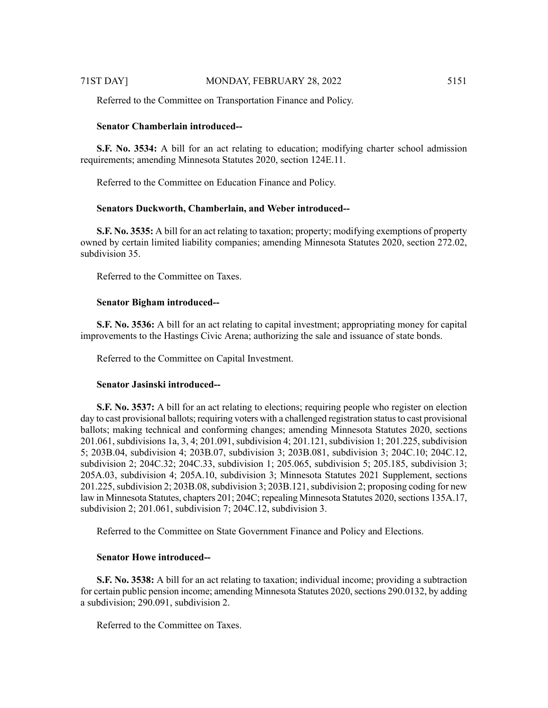Referred to the Committee on Transportation Finance and Policy.

# **Senator Chamberlain introduced--**

**S.F. No. 3534:** A bill for an act relating to education; modifying charter school admission requirements; amending Minnesota Statutes 2020, section 124E.11.

Referred to the Committee on Education Finance and Policy.

### **Senators Duckworth, Chamberlain, and Weber introduced--**

**S.F. No. 3535:** A bill for an act relating to taxation; property; modifying exemptions of property owned by certain limited liability companies; amending Minnesota Statutes 2020, section 272.02, subdivision 35.

Referred to the Committee on Taxes.

#### **Senator Bigham introduced--**

**S.F. No. 3536:** A bill for an act relating to capital investment; appropriating money for capital improvements to the Hastings Civic Arena; authorizing the sale and issuance of state bonds.

Referred to the Committee on Capital Investment.

# **Senator Jasinski introduced--**

**S.F. No. 3537:** A bill for an act relating to elections; requiring people who register on election day to cast provisional ballots; requiring voters with a challenged registration status to cast provisional ballots; making technical and conforming changes; amending Minnesota Statutes 2020, sections 201.061, subdivisions 1a, 3, 4; 201.091, subdivision 4; 201.121, subdivision 1; 201.225, subdivision 5; 203B.04, subdivision 4; 203B.07, subdivision 3; 203B.081, subdivision 3; 204C.10; 204C.12, subdivision 2; 204C.32; 204C.33, subdivision 1; 205.065, subdivision 5; 205.185, subdivision 3; 205A.03, subdivision 4; 205A.10, subdivision 3; Minnesota Statutes 2021 Supplement, sections  $201.225$ , subdivision 2; 203B.08, subdivision 3; 203B.121, subdivision 2; proposing coding for new law in Minnesota Statutes, chapters 201; 204C; repealing Minnesota Statutes 2020, sections 135A.17, subdivision 2; 201.061, subdivision 7; 204C.12, subdivision 3.

Referred to the Committee on State Government Finance and Policy and Elections.

### **Senator Howe introduced--**

**S.F. No. 3538:** A bill for an act relating to taxation; individual income; providing a subtraction for certain public pension income; amending Minnesota Statutes 2020, sections 290.0132, by adding a subdivision; 290.091, subdivision 2.

Referred to the Committee on Taxes.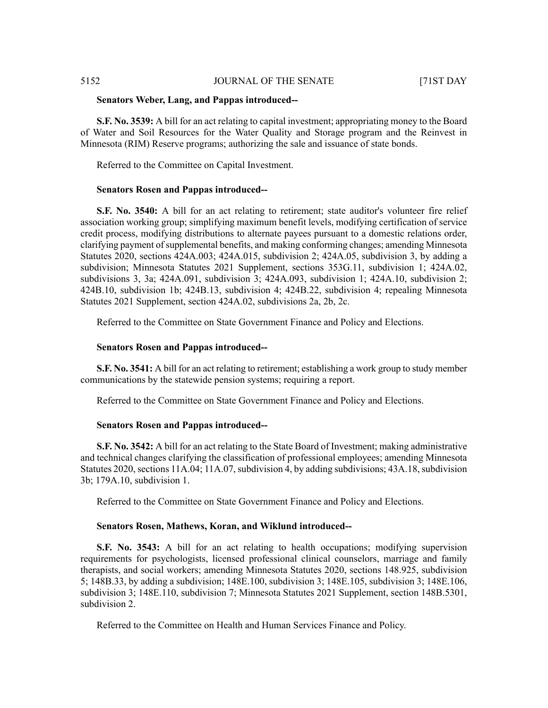# **Senators Weber, Lang, and Pappas introduced--**

**S.F. No. 3539:** A bill for an act relating to capital investment; appropriating money to the Board of Water and Soil Resources for the Water Quality and Storage program and the Reinvest in Minnesota (RIM) Reserve programs; authorizing the sale and issuance of state bonds.

Referred to the Committee on Capital Investment.

# **Senators Rosen and Pappas introduced--**

**S.F. No. 3540:** A bill for an act relating to retirement; state auditor's volunteer fire relief association working group; simplifying maximum benefit levels, modifying certification of service credit process, modifying distributions to alternate payees pursuant to a domestic relations order, clarifying payment of supplemental benefits, and making conforming changes; amending Minnesota Statutes 2020, sections 424A.003; 424A.015, subdivision 2; 424A.05, subdivision 3, by adding a subdivision; Minnesota Statutes 2021 Supplement, sections 353G.11, subdivision 1; 424A.02, subdivisions 3, 3a; 424A.091, subdivision 3; 424A.093, subdivision 1; 424A.10, subdivision 2; 424B.10, subdivision 1b; 424B.13, subdivision 4; 424B.22, subdivision 4; repealing Minnesota Statutes 2021 Supplement, section 424A.02, subdivisions 2a, 2b, 2c.

Referred to the Committee on State Government Finance and Policy and Elections.

# **Senators Rosen and Pappas introduced--**

**S.F. No. 3541:** A bill for an act relating to retirement; establishing a work group to study member communications by the statewide pension systems; requiring a report.

Referred to the Committee on State Government Finance and Policy and Elections.

# **Senators Rosen and Pappas introduced--**

**S.F. No. 3542:** A bill for an act relating to the State Board of Investment; making administrative and technical changes clarifying the classification of professional employees; amending Minnesota Statutes 2020, sections 11A.04; 11A.07, subdivision 4, by adding subdivisions; 43A.18, subdivision 3b; 179A.10, subdivision 1.

Referred to the Committee on State Government Finance and Policy and Elections.

# **Senators Rosen, Mathews, Koran, and Wiklund introduced--**

**S.F. No. 3543:** A bill for an act relating to health occupations; modifying supervision requirements for psychologists, licensed professional clinical counselors, marriage and family therapists, and social workers; amending Minnesota Statutes 2020, sections 148.925, subdivision 5; 148B.33, by adding a subdivision; 148E.100, subdivision 3; 148E.105, subdivision 3; 148E.106, subdivision 3; 148E.110, subdivision 7; Minnesota Statutes 2021 Supplement, section 148B.5301, subdivision 2.

Referred to the Committee on Health and Human Services Finance and Policy.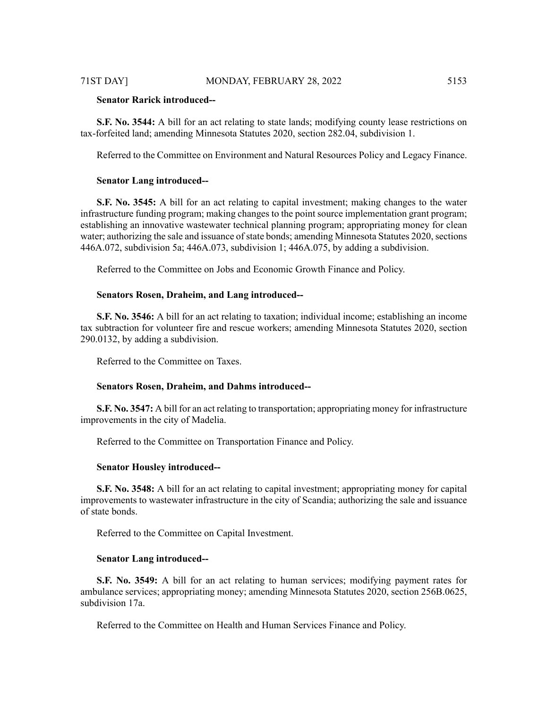# **Senator Rarick introduced--**

**S.F. No. 3544:** A bill for an act relating to state lands; modifying county lease restrictions on tax-forfeited land; amending Minnesota Statutes 2020, section 282.04, subdivision 1.

Referred to the Committee on Environment and Natural Resources Policy and Legacy Finance.

#### **Senator Lang introduced--**

**S.F. No. 3545:** A bill for an act relating to capital investment; making changes to the water infrastructure funding program; making changes to the point source implementation grant program; establishing an innovative wastewater technical planning program; appropriating money for clean water; authorizing the sale and issuance of state bonds; amending Minnesota Statutes 2020, sections 446A.072, subdivision 5a; 446A.073, subdivision 1; 446A.075, by adding a subdivision.

Referred to the Committee on Jobs and Economic Growth Finance and Policy.

# **Senators Rosen, Draheim, and Lang introduced--**

**S.F. No. 3546:** A bill for an act relating to taxation; individual income; establishing an income tax subtraction for volunteer fire and rescue workers; amending Minnesota Statutes 2020, section 290.0132, by adding a subdivision.

Referred to the Committee on Taxes.

#### **Senators Rosen, Draheim, and Dahms introduced--**

**S.F. No. 3547:** A bill for an act relating to transportation; appropriating money for infrastructure improvements in the city of Madelia.

Referred to the Committee on Transportation Finance and Policy.

#### **Senator Housley introduced--**

**S.F. No. 3548:** A bill for an act relating to capital investment; appropriating money for capital improvements to wastewater infrastructure in the city of Scandia; authorizing the sale and issuance of state bonds.

Referred to the Committee on Capital Investment.

#### **Senator Lang introduced--**

**S.F. No. 3549:** A bill for an act relating to human services; modifying payment rates for ambulance services; appropriating money; amending Minnesota Statutes 2020, section 256B.0625, subdivision 17a.

Referred to the Committee on Health and Human Services Finance and Policy.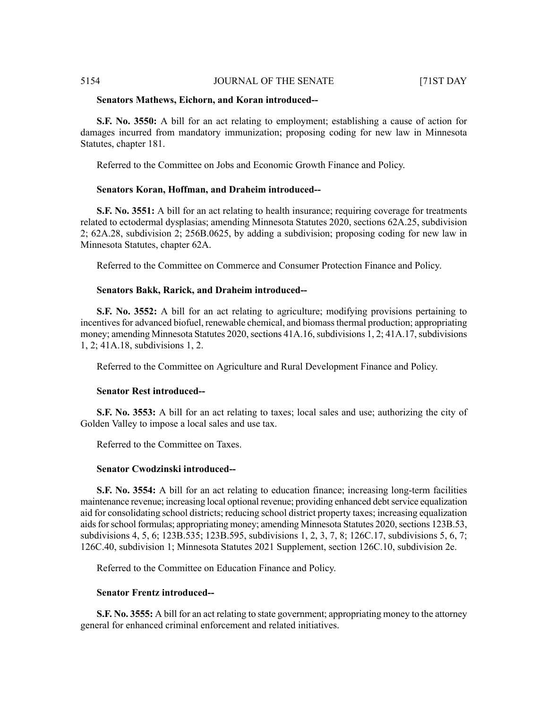### **Senators Mathews, Eichorn, and Koran introduced--**

**S.F. No. 3550:** A bill for an act relating to employment; establishing a cause of action for damages incurred from mandatory immunization; proposing coding for new law in Minnesota Statutes, chapter 181.

Referred to the Committee on Jobs and Economic Growth Finance and Policy.

# **Senators Koran, Hoffman, and Draheim introduced--**

**S.F. No. 3551:** A bill for an act relating to health insurance; requiring coverage for treatments related to ectodermal dysplasias; amending Minnesota Statutes 2020, sections 62A.25, subdivision 2; 62A.28, subdivision 2; 256B.0625, by adding a subdivision; proposing coding for new law in Minnesota Statutes, chapter 62A.

Referred to the Committee on Commerce and Consumer Protection Finance and Policy.

# **Senators Bakk, Rarick, and Draheim introduced--**

**S.F. No. 3552:** A bill for an act relating to agriculture; modifying provisions pertaining to incentives for advanced biofuel, renewable chemical, and biomass thermal production; appropriating money; amending Minnesota Statutes 2020, sections 41A.16, subdivisions 1, 2; 41A.17, subdivisions 1, 2; 41A.18, subdivisions 1, 2.

Referred to the Committee on Agriculture and Rural Development Finance and Policy.

# **Senator Rest introduced--**

**S.F. No. 3553:** A bill for an act relating to taxes; local sales and use; authorizing the city of Golden Valley to impose a local sales and use tax.

Referred to the Committee on Taxes.

# **Senator Cwodzinski introduced--**

**S.F. No. 3554:** A bill for an act relating to education finance; increasing long-term facilities maintenance revenue; increasing local optional revenue; providing enhanced debt service equalization aid for consolidating school districts; reducing school district property taxes; increasing equalization aids for school formulas; appropriating money; amending Minnesota Statutes 2020, sections 123B.53, subdivisions 4, 5, 6; 123B.535; 123B.595, subdivisions 1, 2, 3, 7, 8; 126C.17, subdivisions 5, 6, 7; 126C.40, subdivision 1; Minnesota Statutes 2021 Supplement, section 126C.10, subdivision 2e.

Referred to the Committee on Education Finance and Policy.

# **Senator Frentz introduced--**

**S.F. No. 3555:** A bill for an act relating to state government; appropriating money to the attorney general for enhanced criminal enforcement and related initiatives.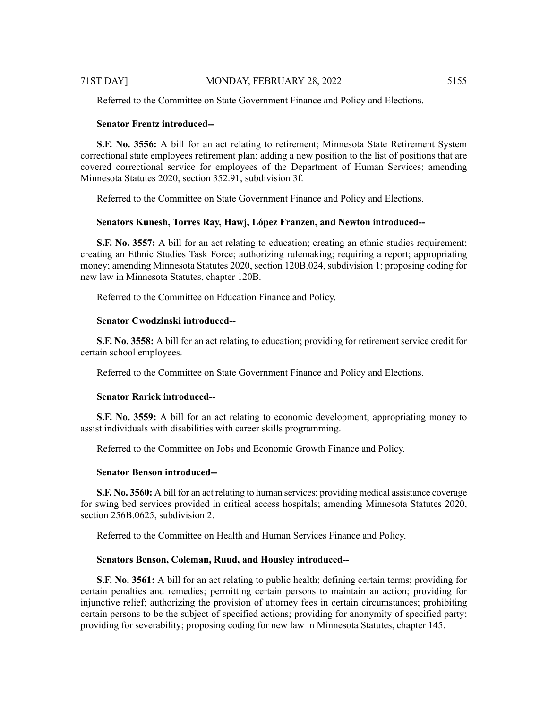Referred to the Committee on State Government Finance and Policy and Elections.

# **Senator Frentz introduced--**

**S.F. No. 3556:** A bill for an act relating to retirement; Minnesota State Retirement System correctional state employees retirement plan; adding a new position to the list of positions that are covered correctional service for employees of the Department of Human Services; amending Minnesota Statutes 2020, section 352.91, subdivision 3f.

Referred to the Committee on State Government Finance and Policy and Elections.

# **Senators Kunesh, Torres Ray, Hawj, López Franzen, and Newton introduced--**

**S.F.** No. 3557: A bill for an act relating to education; creating an ethnic studies requirement; creating an Ethnic Studies Task Force; authorizing rulemaking; requiring a report; appropriating money; amending Minnesota Statutes 2020, section 120B.024, subdivision 1; proposing coding for new law in Minnesota Statutes, chapter 120B.

Referred to the Committee on Education Finance and Policy.

# **Senator Cwodzinski introduced--**

**S.F. No. 3558:** A bill for an act relating to education; providing for retirement service credit for certain school employees.

Referred to the Committee on State Government Finance and Policy and Elections.

# **Senator Rarick introduced--**

**S.F. No. 3559:** A bill for an act relating to economic development; appropriating money to assist individuals with disabilities with career skills programming.

Referred to the Committee on Jobs and Economic Growth Finance and Policy.

# **Senator Benson introduced--**

**S.F. No. 3560:** A bill for an act relating to human services; providing medical assistance coverage for swing bed services provided in critical access hospitals; amending Minnesota Statutes 2020, section 256B.0625, subdivision 2.

Referred to the Committee on Health and Human Services Finance and Policy.

# **Senators Benson, Coleman, Ruud, and Housley introduced--**

**S.F. No. 3561:** A bill for an act relating to public health; defining certain terms; providing for certain penalties and remedies; permitting certain persons to maintain an action; providing for injunctive relief; authorizing the provision of attorney fees in certain circumstances; prohibiting certain persons to be the subject of specified actions; providing for anonymity of specified party; providing for severability; proposing coding for new law in Minnesota Statutes, chapter 145.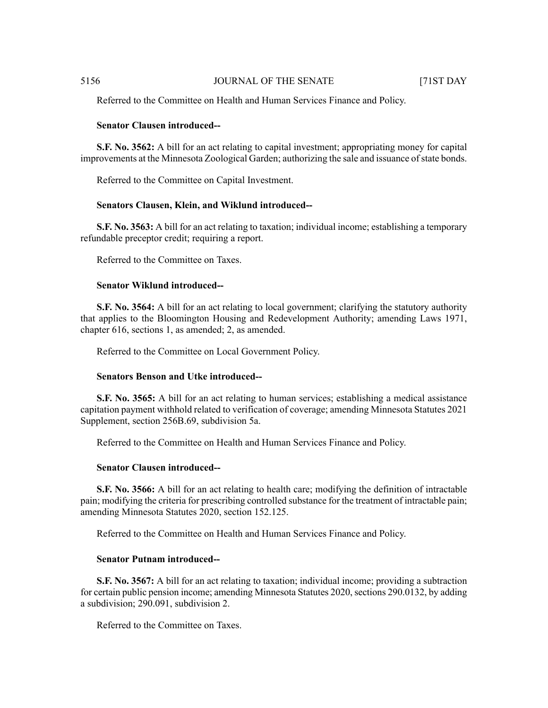Referred to the Committee on Health and Human Services Finance and Policy.

### **Senator Clausen introduced--**

**S.F. No. 3562:** A bill for an act relating to capital investment; appropriating money for capital improvements at the Minnesota Zoological Garden; authorizing the sale and issuance ofstate bonds.

Referred to the Committee on Capital Investment.

#### **Senators Clausen, Klein, and Wiklund introduced--**

**S.F. No. 3563:** A bill for an act relating to taxation; individual income; establishing a temporary refundable preceptor credit; requiring a report.

Referred to the Committee on Taxes.

# **Senator Wiklund introduced--**

**S.F. No. 3564:** A bill for an act relating to local government; clarifying the statutory authority that applies to the Bloomington Housing and Redevelopment Authority; amending Laws 1971, chapter 616, sections 1, as amended; 2, as amended.

Referred to the Committee on Local Government Policy.

#### **Senators Benson and Utke introduced--**

**S.F. No. 3565:** A bill for an act relating to human services; establishing a medical assistance capitation payment withhold related to verification of coverage; amending Minnesota Statutes 2021 Supplement, section 256B.69, subdivision 5a.

Referred to the Committee on Health and Human Services Finance and Policy.

#### **Senator Clausen introduced--**

**S.F. No. 3566:** A bill for an act relating to health care; modifying the definition of intractable pain; modifying the criteria for prescribing controlled substance for the treatment of intractable pain; amending Minnesota Statutes 2020, section 152.125.

Referred to the Committee on Health and Human Services Finance and Policy.

### **Senator Putnam introduced--**

**S.F. No. 3567:** A bill for an act relating to taxation; individual income; providing a subtraction for certain public pension income; amending Minnesota Statutes 2020, sections 290.0132, by adding a subdivision; 290.091, subdivision 2.

Referred to the Committee on Taxes.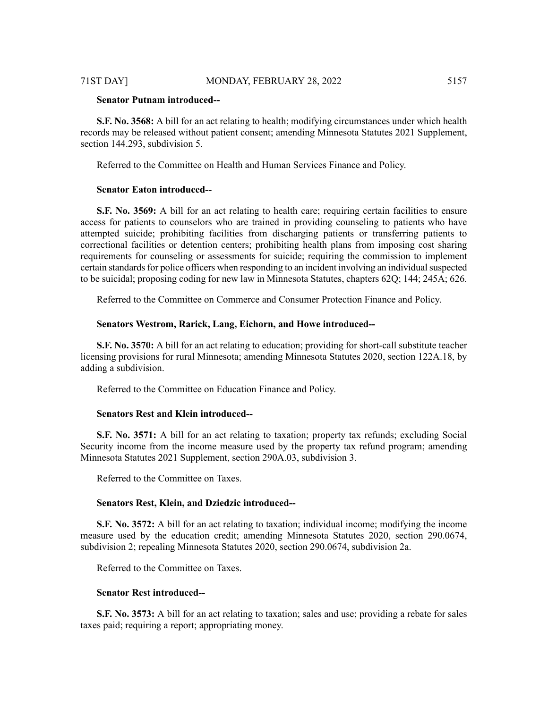# **Senator Putnam introduced--**

**S.F. No. 3568:** A bill for an act relating to health; modifying circumstances under which health records may be released without patient consent; amending Minnesota Statutes 2021 Supplement, section 144.293, subdivision 5.

Referred to the Committee on Health and Human Services Finance and Policy.

#### **Senator Eaton introduced--**

**S.F. No. 3569:** A bill for an act relating to health care; requiring certain facilities to ensure access for patients to counselors who are trained in providing counseling to patients who have attempted suicide; prohibiting facilities from discharging patients or transferring patients to correctional facilities or detention centers; prohibiting health plans from imposing cost sharing requirements for counseling or assessments for suicide; requiring the commission to implement certain standards for police officers when responding to an incident involving an individual suspected to be suicidal; proposing coding for new law in Minnesota Statutes, chapters 62Q; 144; 245A; 626.

Referred to the Committee on Commerce and Consumer Protection Finance and Policy.

# **Senators Westrom, Rarick, Lang, Eichorn, and Howe introduced--**

**S.F. No. 3570:** A bill for an act relating to education; providing for short-call substitute teacher licensing provisions for rural Minnesota; amending Minnesota Statutes 2020, section 122A.18, by adding a subdivision.

Referred to the Committee on Education Finance and Policy.

# **Senators Rest and Klein introduced--**

**S.F. No. 3571:** A bill for an act relating to taxation; property tax refunds; excluding Social Security income from the income measure used by the property tax refund program; amending Minnesota Statutes 2021 Supplement, section 290A.03, subdivision 3.

Referred to the Committee on Taxes.

#### **Senators Rest, Klein, and Dziedzic introduced--**

**S.F. No. 3572:** A bill for an act relating to taxation; individual income; modifying the income measure used by the education credit; amending Minnesota Statutes 2020, section 290.0674, subdivision 2; repealing Minnesota Statutes 2020, section 290.0674, subdivision 2a.

Referred to the Committee on Taxes.

#### **Senator Rest introduced--**

**S.F. No. 3573:** A bill for an act relating to taxation; sales and use; providing a rebate for sales taxes paid; requiring a report; appropriating money.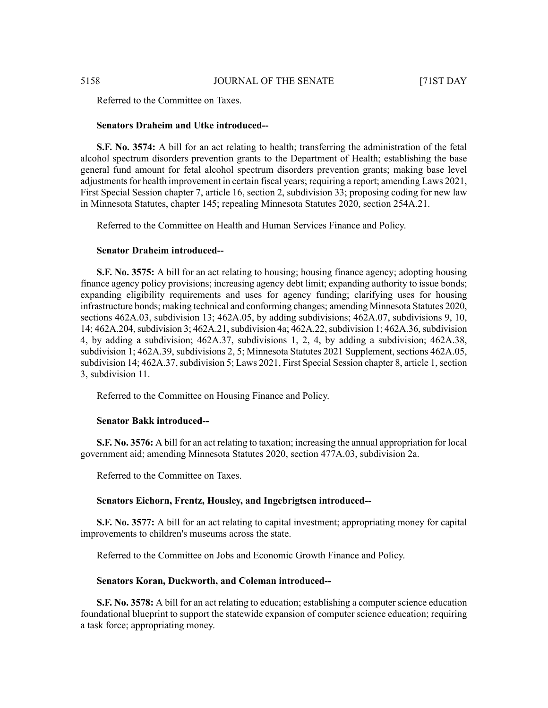Referred to the Committee on Taxes.

#### **Senators Draheim and Utke introduced--**

**S.F. No. 3574:** A bill for an act relating to health; transferring the administration of the fetal alcohol spectrum disorders prevention grants to the Department of Health; establishing the base general fund amount for fetal alcohol spectrum disorders prevention grants; making base level adjustments for health improvement in certain fiscal years; requiring a report; amending Laws 2021, First Special Session chapter 7, article 16, section 2, subdivision 33; proposing coding for new law in Minnesota Statutes, chapter 145; repealing Minnesota Statutes 2020, section 254A.21.

Referred to the Committee on Health and Human Services Finance and Policy.

# **Senator Draheim introduced--**

**S.F. No. 3575:** A bill for an act relating to housing; housing finance agency; adopting housing finance agency policy provisions; increasing agency debt limit; expanding authority to issue bonds; expanding eligibility requirements and uses for agency funding; clarifying uses for housing infrastructure bonds; making technical and conforming changes; amending Minnesota Statutes 2020, sections 462A.03, subdivision 13; 462A.05, by adding subdivisions; 462A.07, subdivisions 9, 10, 14; 462A.204, subdivision 3; 462A.21, subdivision 4a; 462A.22, subdivision 1; 462A.36, subdivision 4, by adding a subdivision; 462A.37, subdivisions 1, 2, 4, by adding a subdivision; 462A.38, subdivision 1; 462A.39, subdivisions 2, 5; Minnesota Statutes 2021 Supplement, sections 462A.05, subdivision 14; 462A.37, subdivision 5; Laws 2021, First Special Session chapter 8, article 1, section 3, subdivision 11.

Referred to the Committee on Housing Finance and Policy.

#### **Senator Bakk introduced--**

**S.F. No. 3576:** A bill for an act relating to taxation; increasing the annual appropriation for local government aid; amending Minnesota Statutes 2020, section 477A.03, subdivision 2a.

Referred to the Committee on Taxes.

### **Senators Eichorn, Frentz, Housley, and Ingebrigtsen introduced--**

**S.F. No. 3577:** A bill for an act relating to capital investment; appropriating money for capital improvements to children's museums across the state.

Referred to the Committee on Jobs and Economic Growth Finance and Policy.

### **Senators Koran, Duckworth, and Coleman introduced--**

**S.F. No. 3578:** A bill for an act relating to education; establishing a computer science education foundational blueprint to support the statewide expansion of computer science education; requiring a task force; appropriating money.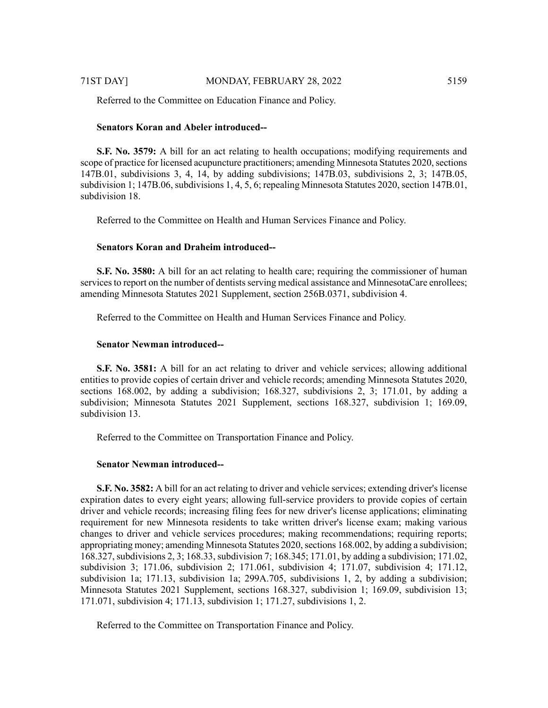Referred to the Committee on Education Finance and Policy.

#### **Senators Koran and Abeler introduced--**

**S.F. No. 3579:** A bill for an act relating to health occupations; modifying requirements and scope of practice for licensed acupuncture practitioners; amending Minnesota Statutes 2020, sections 147B.01, subdivisions 3, 4, 14, by adding subdivisions; 147B.03, subdivisions 2, 3; 147B.05, subdivision 1; 147B.06, subdivisions 1, 4, 5, 6; repealing Minnesota Statutes 2020, section 147B.01, subdivision 18.

Referred to the Committee on Health and Human Services Finance and Policy.

### **Senators Koran and Draheim introduced--**

**S.F. No. 3580:** A bill for an act relating to health care; requiring the commissioner of human services to report on the number of dentists serving medical assistance and MinnesotaCare enrollees; amending Minnesota Statutes 2021 Supplement, section 256B.0371, subdivision 4.

Referred to the Committee on Health and Human Services Finance and Policy.

# **Senator Newman introduced--**

**S.F. No. 3581:** A bill for an act relating to driver and vehicle services; allowing additional entities to provide copies of certain driver and vehicle records; amending Minnesota Statutes 2020, sections 168.002, by adding a subdivision; 168.327, subdivisions 2, 3; 171.01, by adding a subdivision; Minnesota Statutes 2021 Supplement, sections 168.327, subdivision 1; 169.09, subdivision 13.

Referred to the Committee on Transportation Finance and Policy.

#### **Senator Newman introduced--**

**S.F. No. 3582:** A bill for an act relating to driver and vehicle services; extending driver's license expiration dates to every eight years; allowing full-service providers to provide copies of certain driver and vehicle records; increasing filing fees for new driver's license applications; eliminating requirement for new Minnesota residents to take written driver's license exam; making various changes to driver and vehicle services procedures; making recommendations; requiring reports; appropriating money; amending Minnesota Statutes 2020, sections 168.002, by adding a subdivision; 168.327, subdivisions 2, 3; 168.33, subdivision 7; 168.345; 171.01, by adding a subdivision; 171.02, subdivision 3; 171.06, subdivision 2; 171.061, subdivision 4; 171.07, subdivision 4; 171.12, subdivision 1a; 171.13, subdivision 1a; 299A.705, subdivisions 1, 2, by adding a subdivision; Minnesota Statutes 2021 Supplement, sections 168.327, subdivision 1; 169.09, subdivision 13; 171.071, subdivision 4; 171.13, subdivision 1; 171.27, subdivisions 1, 2.

Referred to the Committee on Transportation Finance and Policy.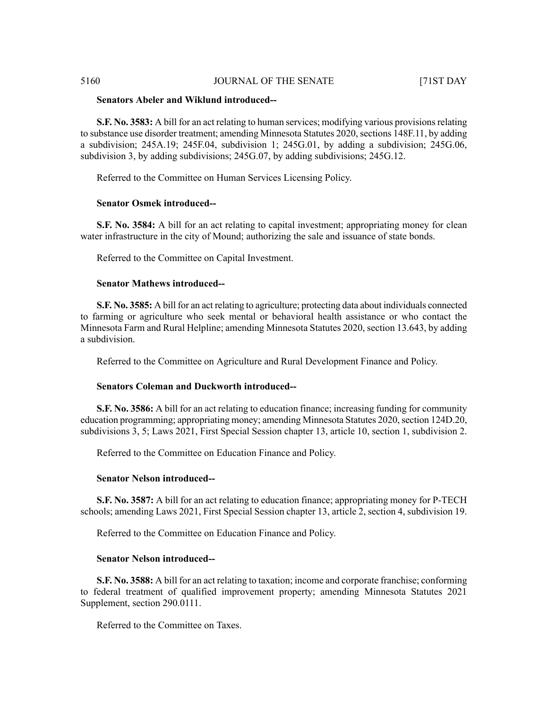# **Senators Abeler and Wiklund introduced--**

**S.F. No. 3583:** A bill for an act relating to human services; modifying various provisionsrelating to substance use disorder treatment; amending Minnesota Statutes 2020, sections 148F.11, by adding a subdivision; 245A.19; 245F.04, subdivision 1; 245G.01, by adding a subdivision; 245G.06, subdivision 3, by adding subdivisions; 245G.07, by adding subdivisions; 245G.12.

Referred to the Committee on Human Services Licensing Policy.

# **Senator Osmek introduced--**

**S.F. No. 3584:** A bill for an act relating to capital investment; appropriating money for clean water infrastructure in the city of Mound; authorizing the sale and issuance of state bonds.

Referred to the Committee on Capital Investment.

# **Senator Mathews introduced--**

**S.F. No. 3585:** A bill for an act relating to agriculture; protecting data about individuals connected to farming or agriculture who seek mental or behavioral health assistance or who contact the Minnesota Farm and Rural Helpline; amending Minnesota Statutes 2020, section 13.643, by adding a subdivision.

Referred to the Committee on Agriculture and Rural Development Finance and Policy.

# **Senators Coleman and Duckworth introduced--**

**S.F. No. 3586:** A bill for an act relating to education finance; increasing funding for community education programming; appropriating money; amending Minnesota Statutes 2020, section 124D.20, subdivisions 3, 5; Laws 2021, First Special Session chapter 13, article 10, section 1, subdivision 2.

Referred to the Committee on Education Finance and Policy.

# **Senator Nelson introduced--**

**S.F. No. 3587:** A bill for an act relating to education finance; appropriating money for P-TECH schools; amending Laws 2021, First Special Session chapter 13, article 2, section 4, subdivision 19.

Referred to the Committee on Education Finance and Policy.

# **Senator Nelson introduced--**

**S.F. No. 3588:** A bill for an act relating to taxation; income and corporate franchise; conforming to federal treatment of qualified improvement property; amending Minnesota Statutes 2021 Supplement, section 290.0111.

Referred to the Committee on Taxes.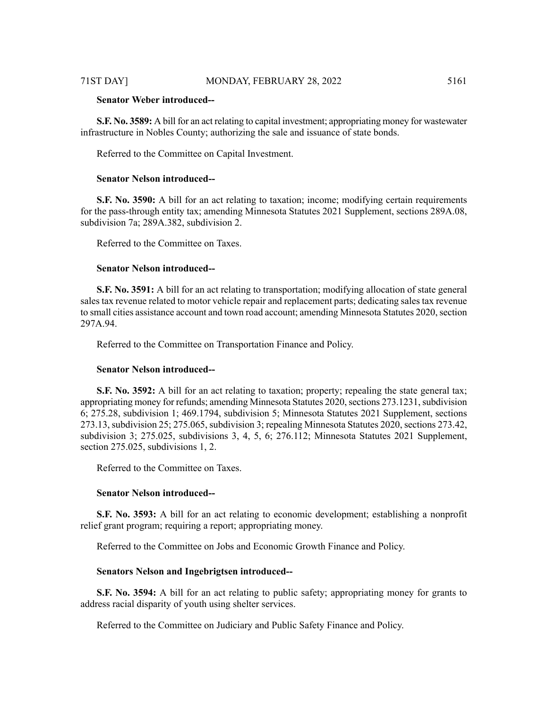# **Senator Weber introduced--**

**S.F. No. 3589:** A bill for an act relating to capital investment; appropriating money for wastewater infrastructure in Nobles County; authorizing the sale and issuance of state bonds.

Referred to the Committee on Capital Investment.

# **Senator Nelson introduced--**

**S.F. No. 3590:** A bill for an act relating to taxation; income; modifying certain requirements for the pass-through entity tax; amending Minnesota Statutes 2021 Supplement, sections 289A.08, subdivision 7a; 289A.382, subdivision 2.

Referred to the Committee on Taxes.

#### **Senator Nelson introduced--**

**S.F. No. 3591:** A bill for an act relating to transportation; modifying allocation of state general sales tax revenue related to motor vehicle repair and replacement parts; dedicating sales tax revenue to small cities assistance account and town road account; amending Minnesota Statutes 2020, section 297A.94.

Referred to the Committee on Transportation Finance and Policy.

### **Senator Nelson introduced--**

**S.F. No. 3592:** A bill for an act relating to taxation; property; repealing the state general tax; appropriating money for refunds; amending Minnesota Statutes 2020, sections 273.1231, subdivision 6; 275.28, subdivision 1; 469.1794, subdivision 5; Minnesota Statutes 2021 Supplement, sections 273.13, subdivision 25; 275.065, subdivision 3; repealing Minnesota Statutes 2020, sections 273.42, subdivision 3; 275.025, subdivisions 3, 4, 5, 6; 276.112; Minnesota Statutes 2021 Supplement, section 275.025, subdivisions 1, 2.

Referred to the Committee on Taxes.

#### **Senator Nelson introduced--**

**S.F. No. 3593:** A bill for an act relating to economic development; establishing a nonprofit relief grant program; requiring a report; appropriating money.

Referred to the Committee on Jobs and Economic Growth Finance and Policy.

#### **Senators Nelson and Ingebrigtsen introduced--**

**S.F. No. 3594:** A bill for an act relating to public safety; appropriating money for grants to address racial disparity of youth using shelter services.

Referred to the Committee on Judiciary and Public Safety Finance and Policy.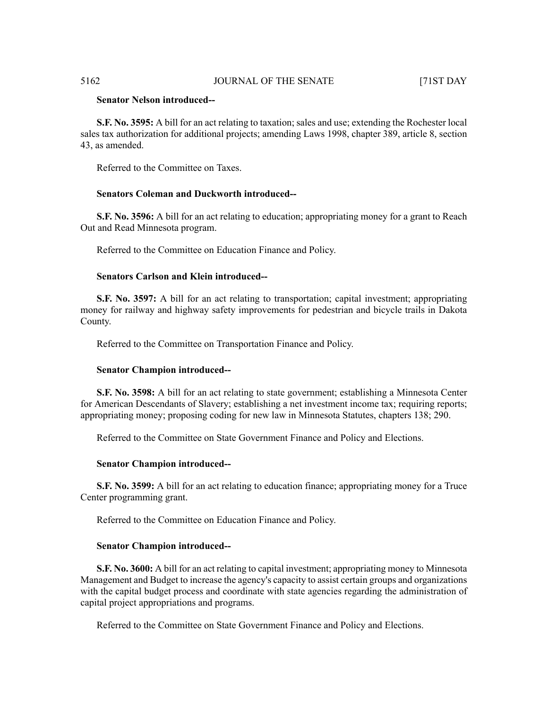# **Senator Nelson introduced--**

**S.F. No. 3595:** A bill for an act relating to taxation; sales and use; extending the Rochester local sales tax authorization for additional projects; amending Laws 1998, chapter 389, article 8, section 43, as amended.

Referred to the Committee on Taxes.

# **Senators Coleman and Duckworth introduced--**

**S.F. No. 3596:** A bill for an act relating to education; appropriating money for a grant to Reach Out and Read Minnesota program.

Referred to the Committee on Education Finance and Policy.

### **Senators Carlson and Klein introduced--**

**S.F. No. 3597:** A bill for an act relating to transportation; capital investment; appropriating money for railway and highway safety improvements for pedestrian and bicycle trails in Dakota County.

Referred to the Committee on Transportation Finance and Policy.

#### **Senator Champion introduced--**

**S.F. No. 3598:** A bill for an act relating to state government; establishing a Minnesota Center for American Descendants of Slavery; establishing a net investment income tax; requiring reports; appropriating money; proposing coding for new law in Minnesota Statutes, chapters 138; 290.

Referred to the Committee on State Government Finance and Policy and Elections.

#### **Senator Champion introduced--**

**S.F. No. 3599:** A bill for an act relating to education finance; appropriating money for a Truce Center programming grant.

Referred to the Committee on Education Finance and Policy.

#### **Senator Champion introduced--**

**S.F. No. 3600:** A bill for an act relating to capital investment; appropriating money to Minnesota Management and Budget to increase the agency's capacity to assist certain groups and organizations with the capital budget process and coordinate with state agencies regarding the administration of capital project appropriations and programs.

Referred to the Committee on State Government Finance and Policy and Elections.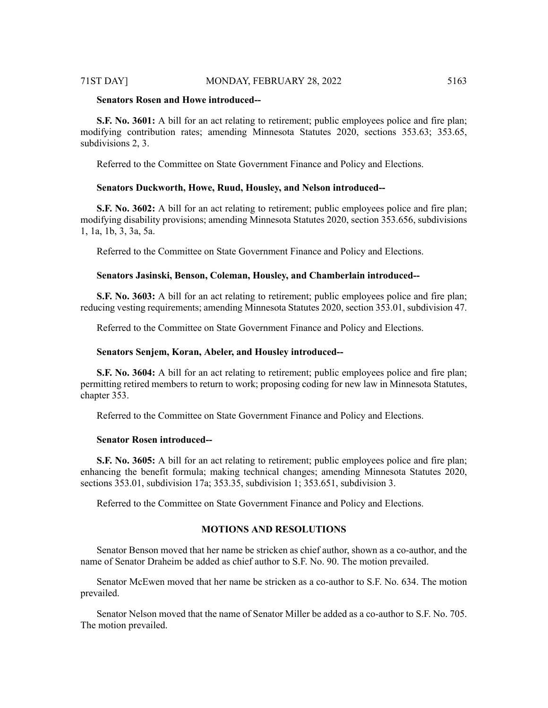### 71ST DAY] MONDAY, FEBRUARY 28, 2022 5163

### **Senators Rosen and Howe introduced--**

**S.F.** No. 3601: A bill for an act relating to retirement; public employees police and fire plan; modifying contribution rates; amending Minnesota Statutes 2020, sections 353.63; 353.65, subdivisions 2, 3.

Referred to the Committee on State Government Finance and Policy and Elections.

#### **Senators Duckworth, Howe, Ruud, Housley, and Nelson introduced--**

**S.F. No. 3602:** A bill for an act relating to retirement; public employees police and fire plan; modifying disability provisions; amending Minnesota Statutes 2020, section 353.656, subdivisions 1, 1a, 1b, 3, 3a, 5a.

Referred to the Committee on State Government Finance and Policy and Elections.

### **Senators Jasinski, Benson, Coleman, Housley, and Chamberlain introduced--**

**S.F. No. 3603:** A bill for an act relating to retirement; public employees police and fire plan; reducing vesting requirements; amending Minnesota Statutes 2020, section 353.01, subdivision 47.

Referred to the Committee on State Government Finance and Policy and Elections.

#### **Senators Senjem, Koran, Abeler, and Housley introduced--**

**S.F. No. 3604:** A bill for an act relating to retirement; public employees police and fire plan; permitting retired members to return to work; proposing coding for new law in Minnesota Statutes, chapter 353.

Referred to the Committee on State Government Finance and Policy and Elections.

# **Senator Rosen introduced--**

**S.F. No. 3605:** A bill for an act relating to retirement; public employees police and fire plan; enhancing the benefit formula; making technical changes; amending Minnesota Statutes 2020, sections 353.01, subdivision 17a; 353.35, subdivision 1; 353.651, subdivision 3.

Referred to the Committee on State Government Finance and Policy and Elections.

# **MOTIONS AND RESOLUTIONS**

Senator Benson moved that her name be stricken as chief author, shown as a co-author, and the name of Senator Draheim be added as chief author to S.F. No. 90. The motion prevailed.

Senator McEwen moved that her name be stricken as a co-author to S.F. No. 634. The motion prevailed.

Senator Nelson moved that the name of Senator Miller be added as a co-author to S.F. No. 705. The motion prevailed.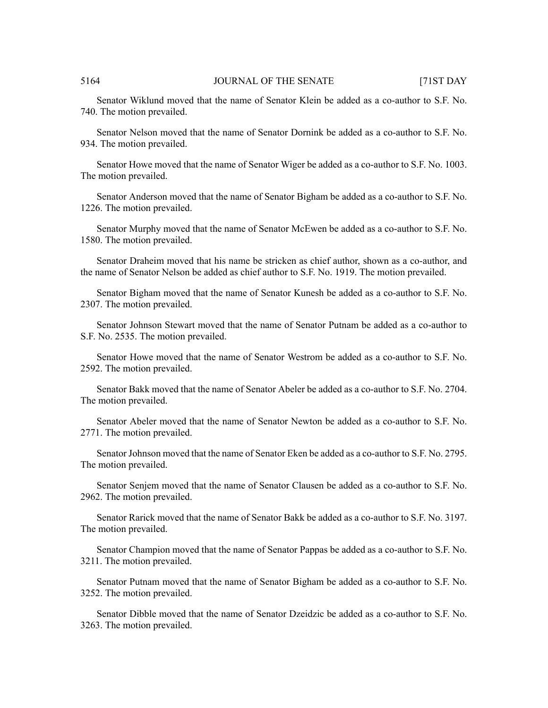Senator Wiklund moved that the name of Senator Klein be added as a co-author to S.F. No. 740. The motion prevailed.

Senator Nelson moved that the name of Senator Dornink be added as a co-author to S.F. No. 934. The motion prevailed.

Senator Howe moved that the name of Senator Wiger be added as a co-author to S.F. No. 1003. The motion prevailed.

Senator Anderson moved that the name of Senator Bigham be added as a co-author to S.F. No. 1226. The motion prevailed.

Senator Murphy moved that the name of Senator McEwen be added as a co-author to S.F. No. 1580. The motion prevailed.

Senator Draheim moved that his name be stricken as chief author, shown as a co-author, and the name of Senator Nelson be added as chief author to S.F. No. 1919. The motion prevailed.

Senator Bigham moved that the name of Senator Kunesh be added as a co-author to S.F. No. 2307. The motion prevailed.

Senator Johnson Stewart moved that the name of Senator Putnam be added as a co-author to S.F. No. 2535. The motion prevailed.

Senator Howe moved that the name of Senator Westrom be added as a co-author to S.F. No. 2592. The motion prevailed.

Senator Bakk moved that the name of Senator Abeler be added as a co-author to S.F. No. 2704. The motion prevailed.

Senator Abeler moved that the name of Senator Newton be added as a co-author to S.F. No. 2771. The motion prevailed.

Senator Johnson moved that the name of Senator Eken be added as a co-author to S.F. No. 2795. The motion prevailed.

Senator Senjem moved that the name of Senator Clausen be added as a co-author to S.F. No. 2962. The motion prevailed.

Senator Rarick moved that the name of Senator Bakk be added as a co-author to S.F. No. 3197. The motion prevailed.

Senator Champion moved that the name of Senator Pappas be added as a co-author to S.F. No. 3211. The motion prevailed.

Senator Putnam moved that the name of Senator Bigham be added as a co-author to S.F. No. 3252. The motion prevailed.

Senator Dibble moved that the name of Senator Dzeidzic be added as a co-author to S.F. No. 3263. The motion prevailed.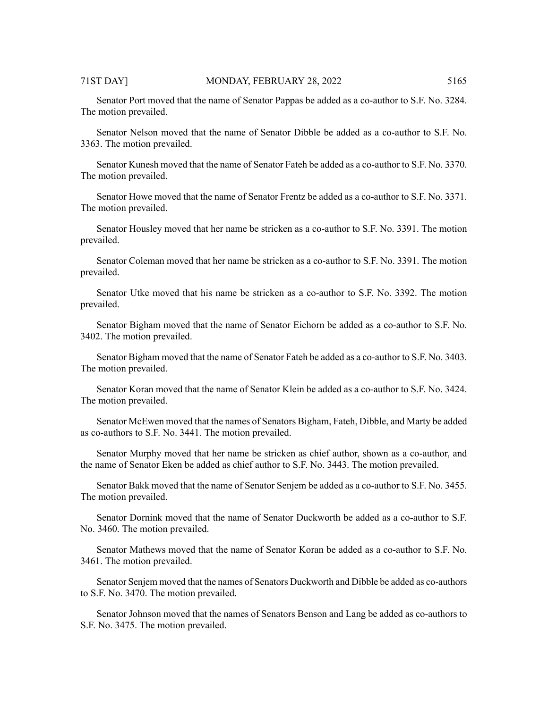Senator Port moved that the name of Senator Pappas be added as a co-author to S.F. No. 3284. The motion prevailed.

Senator Nelson moved that the name of Senator Dibble be added as a co-author to S.F. No. 3363. The motion prevailed.

Senator Kunesh moved that the name of Senator Fateh be added as a co-author to S.F. No. 3370. The motion prevailed.

Senator Howe moved that the name of Senator Frentz be added as a co-author to S.F. No. 3371. The motion prevailed.

Senator Housley moved that her name be stricken as a co-author to S.F. No. 3391. The motion prevailed.

Senator Coleman moved that her name be stricken as a co-author to S.F. No. 3391. The motion prevailed.

Senator Utke moved that his name be stricken as a co-author to S.F. No. 3392. The motion prevailed.

Senator Bigham moved that the name of Senator Eichorn be added as a co-author to S.F. No. 3402. The motion prevailed.

Senator Bigham moved that the name of Senator Fateh be added as a co-author to S.F. No. 3403. The motion prevailed.

Senator Koran moved that the name of Senator Klein be added as a co-author to S.F. No. 3424. The motion prevailed.

Senator McEwen moved that the names of Senators Bigham, Fateh, Dibble, and Marty be added as co-authors to S.F. No. 3441. The motion prevailed.

Senator Murphy moved that her name be stricken as chief author, shown as a co-author, and the name of Senator Eken be added as chief author to S.F. No. 3443. The motion prevailed.

Senator Bakk moved that the name of Senator Senjem be added as a co-author to S.F. No. 3455. The motion prevailed.

Senator Dornink moved that the name of Senator Duckworth be added as a co-author to S.F. No. 3460. The motion prevailed.

Senator Mathews moved that the name of Senator Koran be added as a co-author to S.F. No. 3461. The motion prevailed.

Senator Senjem moved that the names of Senators Duckworth and Dibble be added as co-authors to S.F. No. 3470. The motion prevailed.

Senator Johnson moved that the names of Senators Benson and Lang be added as co-authors to S.F. No. 3475. The motion prevailed.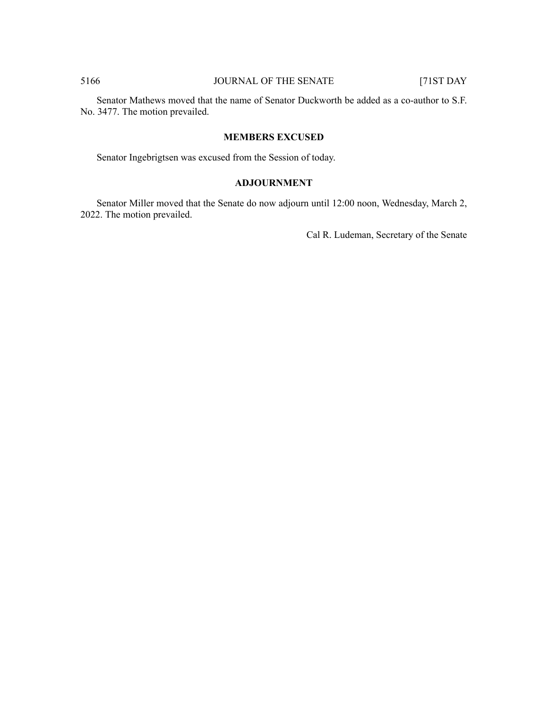Senator Mathews moved that the name of Senator Duckworth be added as a co-author to S.F. No. 3477. The motion prevailed.

### **MEMBERS EXCUSED**

Senator Ingebrigtsen was excused from the Session of today.

# **ADJOURNMENT**

Senator Miller moved that the Senate do now adjourn until 12:00 noon, Wednesday, March 2, 2022. The motion prevailed.

Cal R. Ludeman, Secretary of the Senate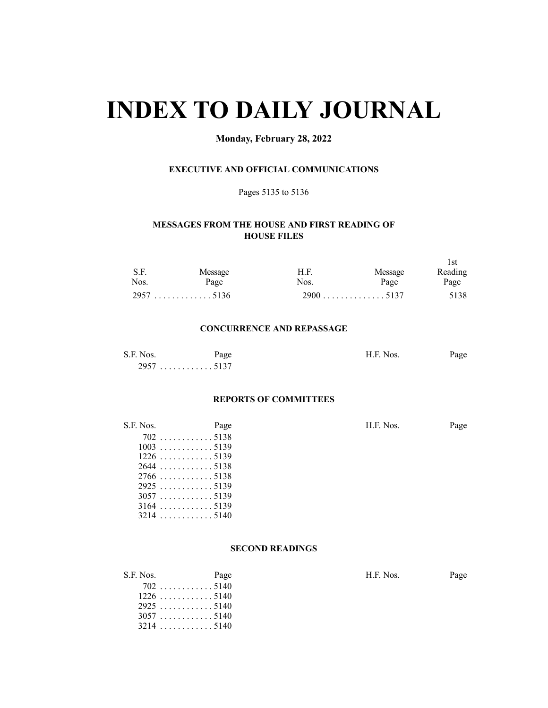# **INDEX TO DAILY JOURNAL**

# **Monday, February 28, 2022**

# **EXECUTIVE AND OFFICIAL COMMUNICATIONS**

# Pages 5135 to 5136

# **MESSAGES FROM THE HOUSE AND FIRST READING OF HOUSE FILES**

| S.F.<br>Nos. | Message<br>Page | H.F.<br>Nos. | Message<br>Page | l st<br>Reading<br>Page |
|--------------|-----------------|--------------|-----------------|-------------------------|
|              |                 |              | $2900$ 5137     | 5138                    |

#### **CONCURRENCE AND REPASSAGE**

| S.F. Nos. | Page   | H.F. Nos. | Page |
|-----------|--------|-----------|------|
| 2057      | . 5137 |           |      |

#### **REPORTS OF COMMITTEES**

| S.F. Nos.   | Page | H.F. Nos. | Page |
|-------------|------|-----------|------|
| $702$ 5138  |      |           |      |
|             |      |           |      |
|             |      |           |      |
| $2644$ 5138 |      |           |      |
|             |      |           |      |
|             |      |           |      |
| 30575139    |      |           |      |
| $3164$ 5139 |      |           |      |
|             |      |           |      |

# **SECOND READINGS**

| S.F. Nos. | Page        | H.F. Nos. | Page |
|-----------|-------------|-----------|------|
|           | $702$ 5140  |           |      |
|           | $1226$ 5140 |           |      |
|           | $2925$ 5140 |           |      |
|           | 30575140    |           |      |
|           | $3214$ 5140 |           |      |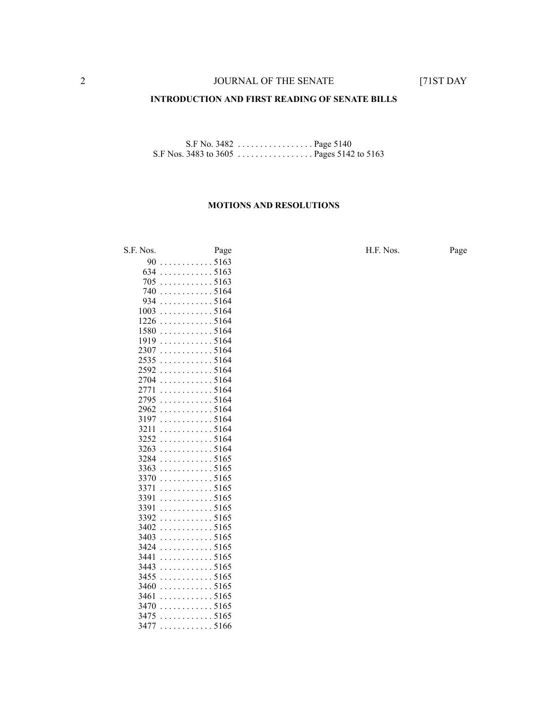#### **INTRODUCTION AND FIRST READING OF SENATE BILLS**

S.F No. 3482 . . . . . . . . . . . . . . . . . Page 5140 S.F Nos. 3483 to 3605 . . . . . . . . . . . . . . . . . Pages 5142 to 5163

#### **MOTIONS AND RESOLUTIONS**

S.F. Nos. Page Page Page H.F. Nos. Page . . . . . . . . . . . . 5163 . . . . . . . . . . . . 5163 . . . . . . . . . . . . 5163 . . . . . . . . . . . . 5164 . . . . . . . . . . . . 5164 . . . . . . . . . . . . 5164 . . . . . . . . . . . . 5164 . . . . . . . . . . . . 5164 . . . . . . . . . . . . 5164 . . . . . . . . . . . . 5164 . . . . . . . . . . . . 5164 . . . . . . . . . . . . 5164 . . . . . . . . . . . . 5164 . . . . . . . . . . . . 5164 . . . . . . . . . . . . 5164 . . . . . . . . . . . . 5164 . . . . . . . . . . . . 5164 . . . . . . . . . . . . 5164 . . . . . . . . . . . . 5164 . . . . . . . . . . . . 5164 . . . . . . . . . . . . 5165 . . . . . . . . . . . . 5165 . . . . . . . . . . . . 5165 . . . . . . . . . . . . 5165 . . . . . . . . . . . . 5165 . . . . . . . . . . . . 5165 . . . . . . . . . . . . 5165 . . . . . . . . . . . . 5165 . . . . . . . . . . . . 5165 . . . . . . . . . . . . 5165 . . . . . . . . . . . . 5165 . . . . . . . . . . . . 5165 . . . . . . . . . . . . 5165 . . . . . . . . . . . . 5165 . . . . . . . . . . . . 5165 . . . . . . . . . . . . 5165 . . . . . . . . . . . . 5165 . . . . . . . . . . . . 5166